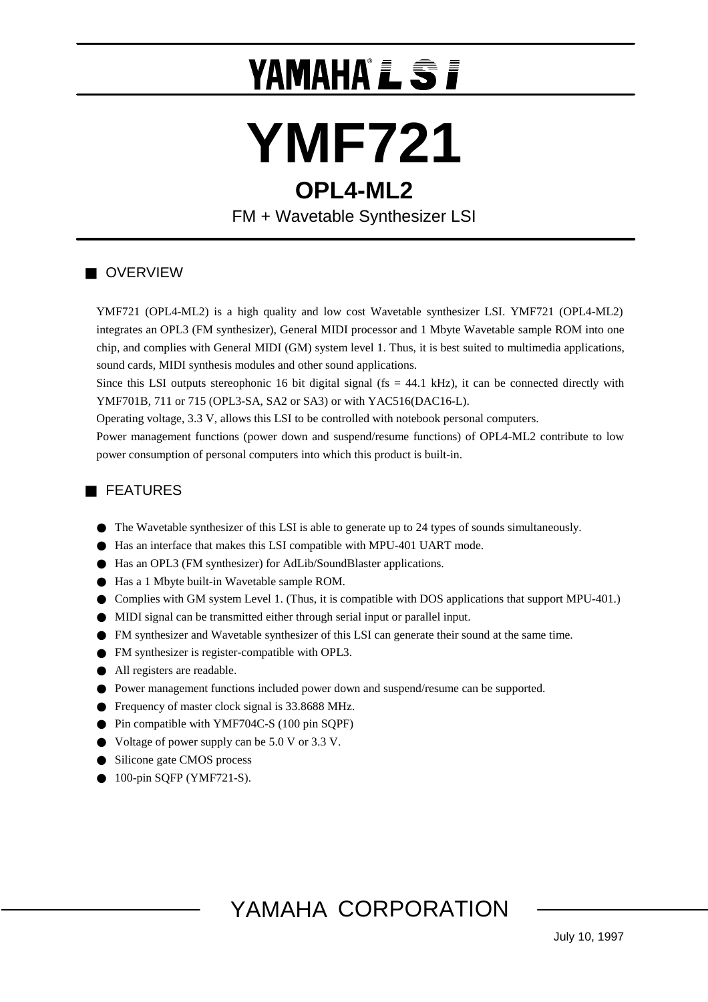# YAMAHAÎ**j**

## **YMF721 OPL4-ML2**

FM + Wavetable Synthesizer LSI

## **OVERVIEW**

YMF721 (OPL4-ML2) is a high quality and low cost Wavetable synthesizer LSI. YMF721 (OPL4-ML2) integrates an OPL3 (FM synthesizer), General MIDI processor and 1 Mbyte Wavetable sample ROM into one chip, and complies with General MIDI (GM) system level 1. Thus, it is best suited to multimedia applications, sound cards, MIDI synthesis modules and other sound applications.

Since this LSI outputs stereophonic 16 bit digital signal ( $fs = 44.1$  kHz), it can be connected directly with YMF701B, 711 or 715 (OPL3-SA, SA2 or SA3) or with YAC516(DAC16-L).

Operating voltage, 3.3 V, allows this LSI to be controlled with notebook personal computers.

Power management functions (power down and suspend/resume functions) of OPL4-ML2 contribute to low power consumption of personal computers into which this product is built-in.

## FEATURES

100-pin SQFP (YMF721-S).

 The Wavetable synthesizer of this LSI is able to generate up to 24 types of sounds simultaneously. Has an interface that makes this LSI compatible with MPU-401 UART mode. Has an OPL3 (FM synthesizer) for AdLib/SoundBlaster applications. Has a 1 Mbyte built-in Wavetable sample ROM. Complies with GM system Level 1. (Thus, it is compatible with DOS applications that support MPU-401.) MIDI signal can be transmitted either through serial input or parallel input. FM synthesizer and Wavetable synthesizer of this LSI can generate their sound at the same time. FM synthesizer is register-compatible with OPL3. All registers are readable. Power management functions included power down and suspend/resume can be supported. Frequency of master clock signal is 33.8688 MHz. Pin compatible with YMF704C-S (100 pin SQPF) Voltage of power supply can be 5.0 V or 3.3 V. Silicone gate CMOS process

## YAMAHA CORPORATION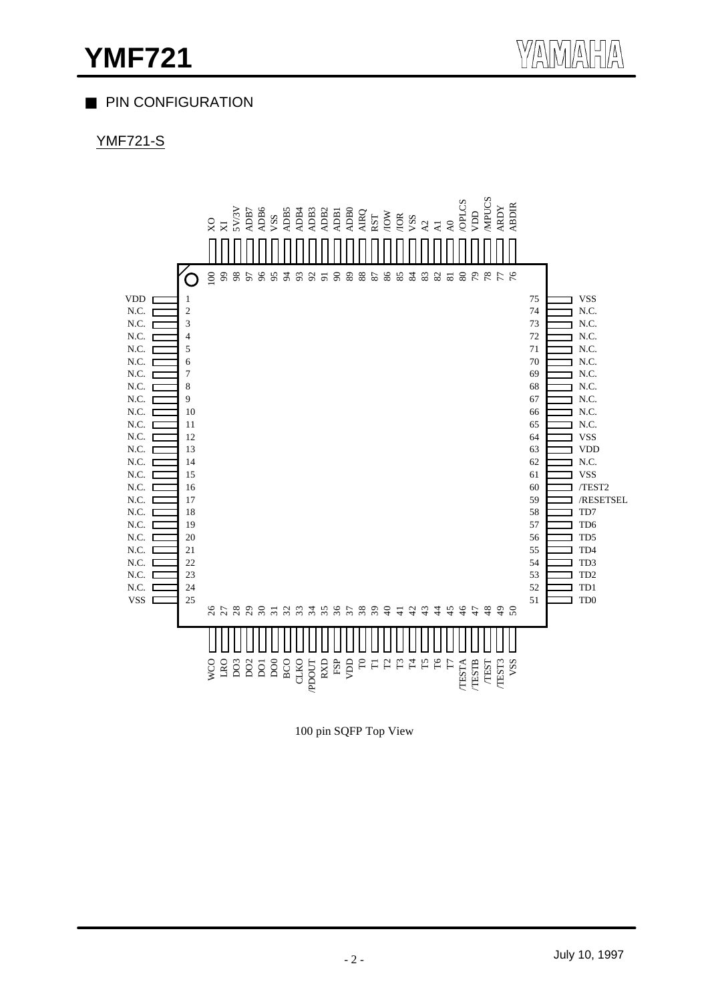## PIN CONFIGURATION

## YMF721-S



100 pin SQFP Top View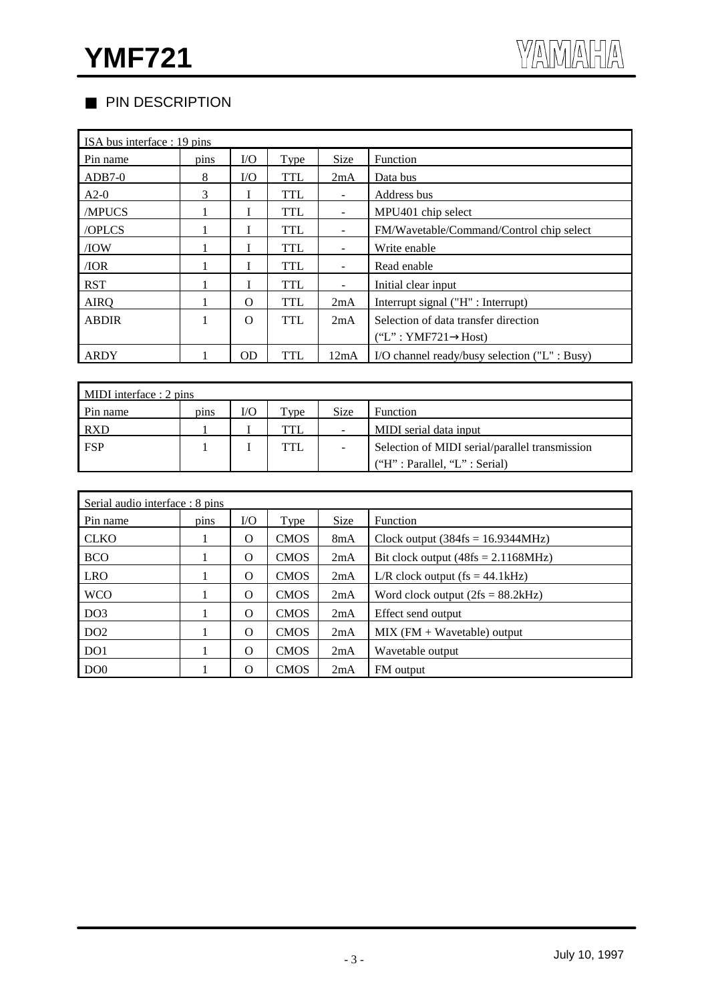## PIN DESCRIPTION

| ISA bus interface : 19 pins |      |          |             |             |                                               |  |
|-----------------------------|------|----------|-------------|-------------|-----------------------------------------------|--|
| Pin name                    | pins | $\rm LO$ | <b>Type</b> | <b>Size</b> | Function                                      |  |
| $ADB7-0$                    | 8    | I/O      | <b>TTL</b>  | 2mA         | Data bus                                      |  |
| $A2-0$                      | 3    |          | <b>TTL</b>  |             | Address bus                                   |  |
| /MPUCS                      |      |          | <b>TTL</b>  |             | MPU401 chip select                            |  |
| /OPLCS                      |      |          | <b>TTL</b>  |             | FM/Wavetable/Command/Control chip select      |  |
| /IOW                        |      |          | <b>TTL</b>  |             | Write enable                                  |  |
| /IOR                        |      |          | <b>TTL</b>  |             | Read enable                                   |  |
| <b>RST</b>                  |      |          | <b>TTL</b>  |             | Initial clear input                           |  |
| <b>AIRQ</b>                 |      | $\Omega$ | <b>TTL</b>  | 2mA         | Interrupt signal ("H" : Interrupt)            |  |
| <b>ABDIR</b>                |      | $\Omega$ | <b>TTL</b>  | 2mA         | Selection of data transfer direction          |  |
|                             |      |          |             |             | ("L": YMF721"<br>Host)                        |  |
| ARDY                        |      | OD       | <b>TTL</b>  | 12mA        | I/O channel ready/busy selection ("L" : Busy) |  |

| MIDI interface $: 2 \text{ pins}$ |      |     |            |             |                                                |  |
|-----------------------------------|------|-----|------------|-------------|------------------------------------------------|--|
| Pin name                          | pins | I/O | $TV$ pe    | <b>Size</b> | <b>Function</b>                                |  |
| <b>RXD</b>                        |      |     | TTL        |             | MIDI serial data input                         |  |
| <b>FSP</b>                        |      |     | <b>TTL</b> |             | Selection of MIDI serial/parallel transmission |  |
|                                   |      |     |            |             | ('H": Parallel, 'L": Serial)                   |  |

| Serial audio interface : 8 pins |      |          |             |             |                                                   |  |
|---------------------------------|------|----------|-------------|-------------|---------------------------------------------------|--|
| Pin name                        | pins | I/O      | Type        | <b>Size</b> | Function                                          |  |
| <b>CLKO</b>                     |      | $\Omega$ | <b>CMOS</b> | 8mA         | Clock output $(384\text{fs} = 16.9344\text{MHz})$ |  |
| <b>BCO</b>                      |      | $\Omega$ | <b>CMOS</b> | 2mA         | Bit clock output $(48fs = 2.1168MHz)$             |  |
| <b>LRO</b>                      |      | $\Omega$ | <b>CMOS</b> | 2mA         | L/R clock output $fs = 44.1kHz$ )                 |  |
| <b>WCO</b>                      |      | $\Omega$ | <b>CMOS</b> | 2mA         | Word clock output $(2fs = 88.2kHz)$               |  |
| DO <sub>3</sub>                 |      | $\Omega$ | <b>CMOS</b> | 2mA         | Effect send output                                |  |
| DO <sub>2</sub>                 |      | $\Omega$ | <b>CMOS</b> | 2mA         | $MIX$ (FM + Wavetable) output                     |  |
| DO <sub>1</sub>                 |      | $\Omega$ | <b>CMOS</b> | 2mA         | Wavetable output                                  |  |
| DO <sub>0</sub>                 |      | $\Omega$ | <b>CMOS</b> | 2mA         | FM output                                         |  |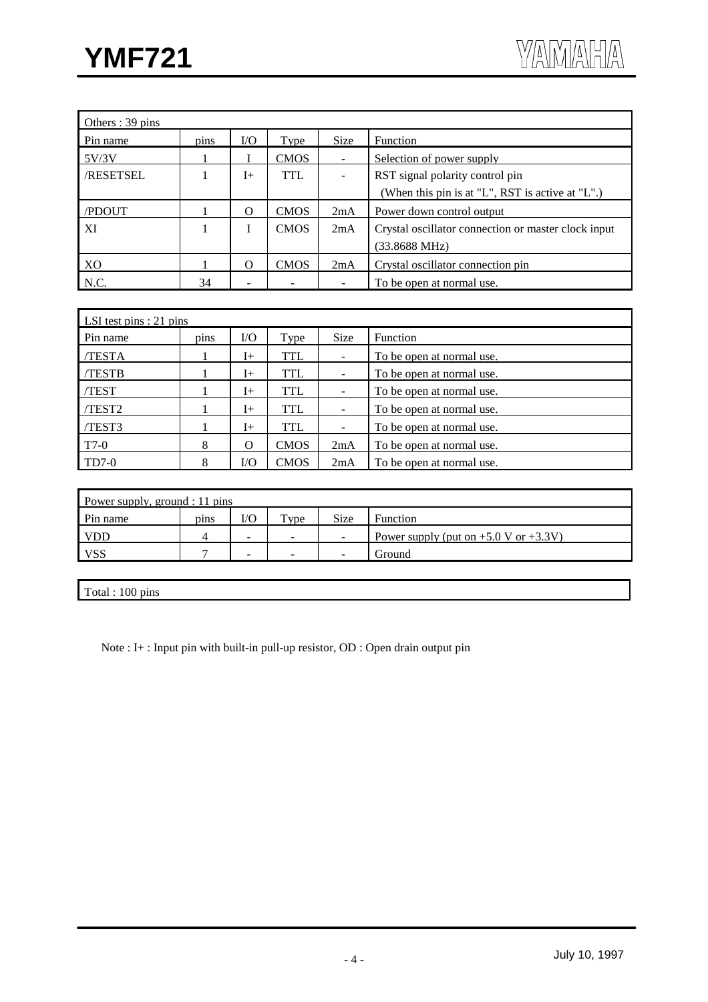| Others: 39 pins  |      |          |             |             |                                                     |
|------------------|------|----------|-------------|-------------|-----------------------------------------------------|
| Pin name         | pins | I/O      | Type        | <b>Size</b> | Function                                            |
| 5V/3V            |      |          | <b>CMOS</b> |             | Selection of power supply                           |
| <b>/RESETSEL</b> |      | $I+$     | TTL         |             | RST signal polarity control pin                     |
|                  |      |          |             |             | (When this pin is at "L", RST is active at "L".)    |
| /PDOUT           |      | $\Omega$ | <b>CMOS</b> | 2mA         | Power down control output                           |
| XI               |      | I        | <b>CMOS</b> | 2mA         | Crystal oscillator connection or master clock input |
|                  |      |          |             |             | $(33.8688 \text{ MHz})$                             |
| XO               |      | $\Omega$ | <b>CMOS</b> | 2mA         | Crystal oscillator connection pin                   |
| N.C.             | 34   |          |             |             | To be open at normal use.                           |

| LSI test pins $: 21$ pins |      |          |             |             |                           |  |  |
|---------------------------|------|----------|-------------|-------------|---------------------------|--|--|
| Pin name                  | pins | I/O      | Type        | <b>Size</b> | <b>Function</b>           |  |  |
| /TESTA                    |      | I+       | TTL         |             | To be open at normal use. |  |  |
| <b>TESTB</b>              |      | $I+$     | TTL         |             | To be open at normal use. |  |  |
| <b>TEST</b>               |      | $I+$     | TTL         |             | To be open at normal use. |  |  |
| TEST <sub>2</sub>         |      | $I+$     | TTL         |             | To be open at normal use. |  |  |
| /TEST3                    |      | $I+$     | TTL         |             | To be open at normal use. |  |  |
| T7-0                      | 8    | $\Omega$ | <b>CMOS</b> | 2mA         | To be open at normal use. |  |  |
| $TD7-0$                   | 8    | $V$ O    | <b>CMOS</b> | 2mA         | To be open at normal use. |  |  |

| Power supply, ground : 11 pins |      |     |                          |                          |                                            |  |
|--------------------------------|------|-----|--------------------------|--------------------------|--------------------------------------------|--|
| Pin name                       | pins | I/O | $TV$ pe                  | <b>Size</b>              | Function                                   |  |
| <b>VDD</b>                     |      | -   | $\overline{\phantom{a}}$ | $\sim$                   | Power supply (put on $+5.0$ V or $+3.3$ V) |  |
| <b>VSS</b>                     |      | -   | -                        | $\overline{\phantom{0}}$ | Ground                                     |  |

Total : 100 pins

Note : I+ : Input pin with built-in pull-up resistor, OD : Open drain output pin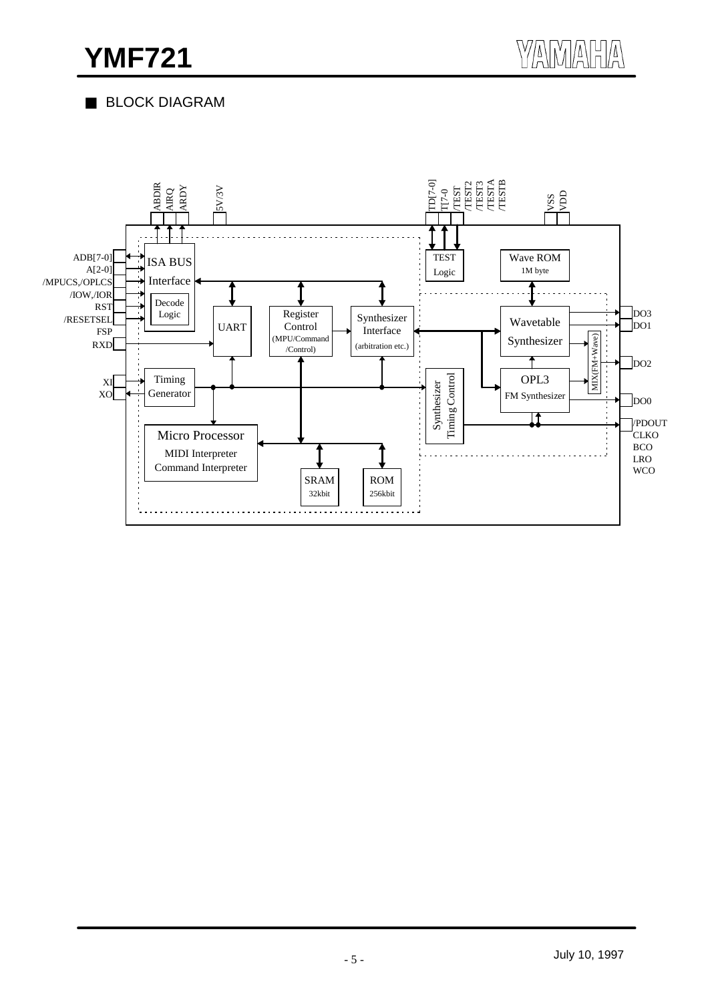## BLOCK DIAGRAM

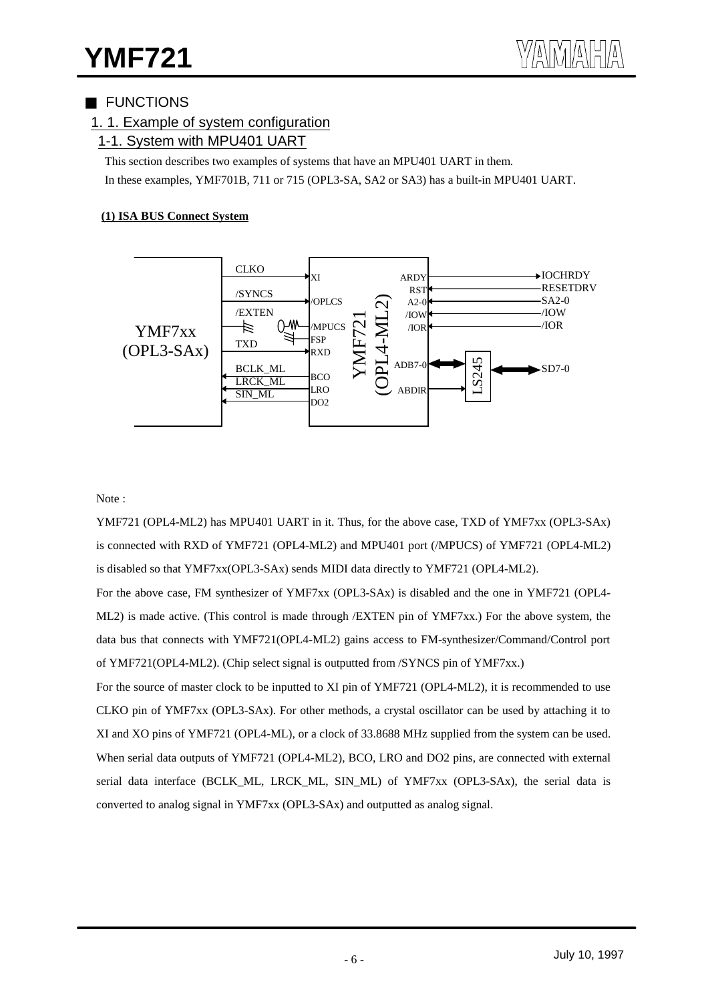## FUNCTIONS

## 1. 1. Example of system configuration

## 1-1. System with MPU401 UART

This section describes two examples of systems that have an MPU401 UART in them. In these examples, YMF701B, 711 or 715 (OPL3-SA, SA2 or SA3) has a built-in MPU401 UART.

#### **(1) ISA BUS Connect System**



#### Note :

YMF721 (OPL4-ML2) has MPU401 UART in it. Thus, for the above case, TXD of YMF7xx (OPL3-SAx) is connected with RXD of YMF721 (OPL4-ML2) and MPU401 port (/MPUCS) of YMF721 (OPL4-ML2) is disabled so that YMF7xx(OPL3-SAx) sends MIDI data directly to YMF721 (OPL4-ML2).

For the above case, FM synthesizer of YMF7xx (OPL3-SAx) is disabled and the one in YMF721 (OPL4- ML2) is made active. (This control is made through /EXTEN pin of YMF7xx.) For the above system, the data bus that connects with YMF721(OPL4-ML2) gains access to FM-synthesizer/Command/Control port of YMF721(OPL4-ML2). (Chip select signal is outputted from /SYNCS pin of YMF7xx.)

For the source of master clock to be inputted to XI pin of YMF721 (OPL4-ML2), it is recommended to use CLKO pin of YMF7xx (OPL3-SAx). For other methods, a crystal oscillator can be used by attaching it to XI and XO pins of YMF721 (OPL4-ML), or a clock of 33.8688 MHz supplied from the system can be used. When serial data outputs of YMF721 (OPL4-ML2), BCO, LRO and DO2 pins, are connected with external serial data interface (BCLK\_ML, LRCK\_ML, SIN\_ML) of YMF7xx (OPL3-SAx), the serial data is converted to analog signal in YMF7xx (OPL3-SAx) and outputted as analog signal.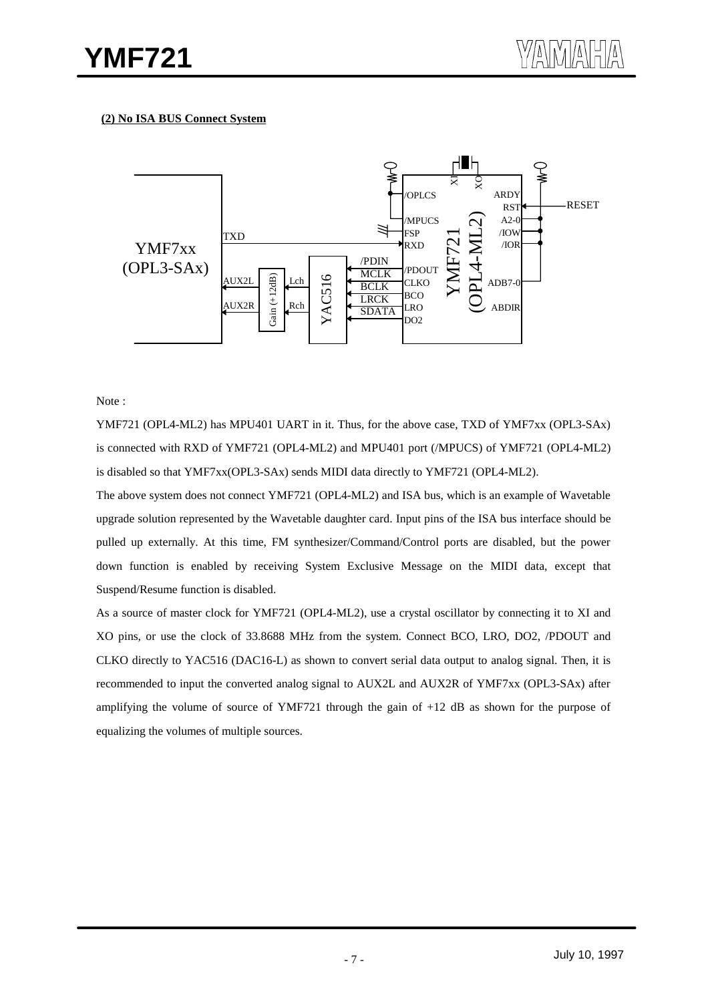#### **(2) No ISA BUS Connect System**



#### Note :

YMF721 (OPL4-ML2) has MPU401 UART in it. Thus, for the above case, TXD of YMF7xx (OPL3-SAx) is connected with RXD of YMF721 (OPL4-ML2) and MPU401 port (/MPUCS) of YMF721 (OPL4-ML2) is disabled so that YMF7xx(OPL3-SAx) sends MIDI data directly to YMF721 (OPL4-ML2).

The above system does not connect YMF721 (OPL4-ML2) and ISA bus, which is an example of Wavetable upgrade solution represented by the Wavetable daughter card. Input pins of the ISA bus interface should be pulled up externally. At this time, FM synthesizer/Command/Control ports are disabled, but the power down function is enabled by receiving System Exclusive Message on the MIDI data, except that Suspend/Resume function is disabled.

As a source of master clock for YMF721 (OPL4-ML2), use a crystal oscillator by connecting it to XI and XO pins, or use the clock of 33.8688 MHz from the system. Connect BCO, LRO, DO2, /PDOUT and CLKO directly to YAC516 (DAC16-L) as shown to convert serial data output to analog signal. Then, it is recommended to input the converted analog signal to AUX2L and AUX2R of YMF7xx (OPL3-SAx) after amplifying the volume of source of YMF721 through the gain of +12 dB as shown for the purpose of equalizing the volumes of multiple sources.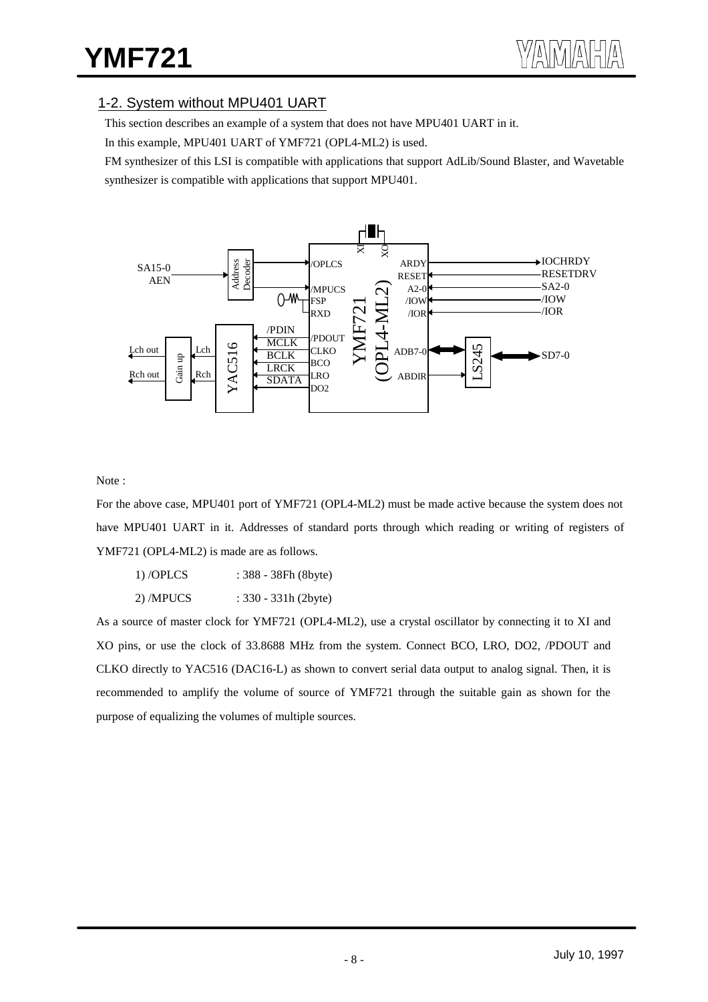## 1-2. System without MPU401 UART

This section describes an example of a system that does not have MPU401 UART in it.

In this example, MPU401 UART of YMF721 (OPL4-ML2) is used.

FM synthesizer of this LSI is compatible with applications that support AdLib/Sound Blaster, and Wavetable synthesizer is compatible with applications that support MPU401.



Note :

For the above case, MPU401 port of YMF721 (OPL4-ML2) must be made active because the system does not have MPU401 UART in it. Addresses of standard ports through which reading or writing of registers of YMF721 (OPL4-ML2) is made are as follows.

| $1)$ /OPLCS | $: 388 - 38Fh (8byte)$ |
|-------------|------------------------|
|             |                        |

2) /MPUCS : 330 - 331h (2byte)

As a source of master clock for YMF721 (OPL4-ML2), use a crystal oscillator by connecting it to XI and XO pins, or use the clock of 33.8688 MHz from the system. Connect BCO, LRO, DO2, /PDOUT and CLKO directly to YAC516 (DAC16-L) as shown to convert serial data output to analog signal. Then, it is recommended to amplify the volume of source of YMF721 through the suitable gain as shown for the purpose of equalizing the volumes of multiple sources.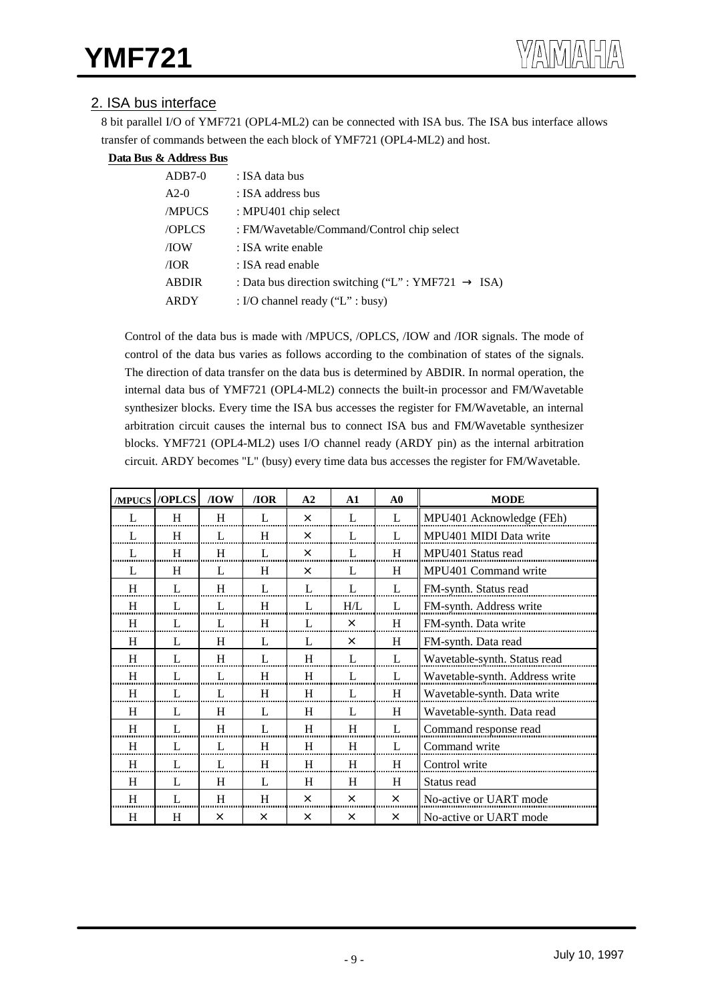## 2. ISA bus interface

8 bit parallel I/O of YMF721 (OPL4-ML2) can be connected with ISA bus. The ISA bus interface allows transfer of commands between the each block of YMF721 (OPL4-ML2) and host.

#### **Data Bus & Address Bus**

| $ADB7-0$     | : ISA data bus                               |      |
|--------------|----------------------------------------------|------|
| $A2-0$       | : ISA address bus                            |      |
| <b>MPUCS</b> | : MPU401 chip select                         |      |
| /OPLCS       | : FM/Wavetable/Command/Control chip select   |      |
| /IOW         | : ISA write enable                           |      |
| /IOR         | : ISA read enable                            |      |
| <b>ABDIR</b> | : Data bus direction switching ("L": YMF721" | ISA) |
| ARDY         | : I/O channel ready $("L" : busy)$           |      |

Control of the data bus is made with /MPUCS, /OPLCS, /IOW and /IOR signals. The mode of control of the data bus varies as follows according to the combination of states of the signals. The direction of data transfer on the data bus is determined by ABDIR. In normal operation, the internal data bus of YMF721 (OPL4-ML2) connects the built-in processor and FM/Wavetable synthesizer blocks. Every time the ISA bus accesses the register for FM/Wavetable, an internal arbitration circuit causes the internal bus to connect ISA bus and FM/Wavetable synthesizer blocks. YMF721 (OPL4-ML2) uses I/O channel ready (ARDY pin) as the internal arbitration circuit. ARDY becomes "L" (busy) every time data bus accesses the register for FM/Wavetable.

| /MPUCS       | /OPLCS | /10W         | / <b>IOR</b>   | A <sub>2</sub> | $\mathbf{A1}$  | $\bf{A0}$      | <b>MODE</b>                    |
|--------------|--------|--------------|----------------|----------------|----------------|----------------|--------------------------------|
| L            | H      | H            | $\mathbf{I}$ . | $\times$       | $\mathbf{I}$ . | L              | MPU401 Acknowledge (FEh)       |
| L            | H      | L            | H              | $\times$       | L              | L              | MPU401 MIDI Data write         |
| $\mathbf{L}$ | H      | H            | $\mathbf{I}$ . | $\times$       | L              | H              | MPU401 Status read             |
| $\mathbf{L}$ | H      | $\mathbf{L}$ | H              | $\times$       | L              | H              | MPU401 Command write           |
| H            | L      | H            | L              | L              | L              | L              | FM-synth. Status read          |
| H            | L      | L            | H              | L              | H/L            | $\mathbf{I}$ . | FM-synth. Address write        |
| H            | L      | L            | H              | L              | $\times$       | H              | FM-synth. Data write           |
| H            | L      | H            | L              | L              | $\times$       | H              | FM-synth. Data read            |
| H            | L      | H            | L              | H              | $\mathbf{L}$   | L              | Wavetable-synth. Status read   |
| H            | L      | L            | H              | H              | L              | L              | Wavetable-synth. Address write |
| H            | L      | L            | H              | H              | L              | H              | Wavetable-synth. Data write    |
| H            | L      | H            | L              | H              | L              | H              | Wavetable-synth. Data read     |
| H            | L      | H            | L              | H              | H              | L              | Command response read          |
| H            | L      | L            | H              | H              | H              | L              | Command write                  |
| H            | L      | L            | H              | H              | H              | H              | Control write                  |
| H            | L      | H            | $\mathbf{I}$ . | H              | H              | H              | Status read                    |
| H            | L      | H            | H              | $\times$       | $\times$       | $\times$       | No-active or UART mode         |
| Η            | H      | $\times$     | $\times$       | ×              | $\times$       | $\times$       | No-active or UART mode         |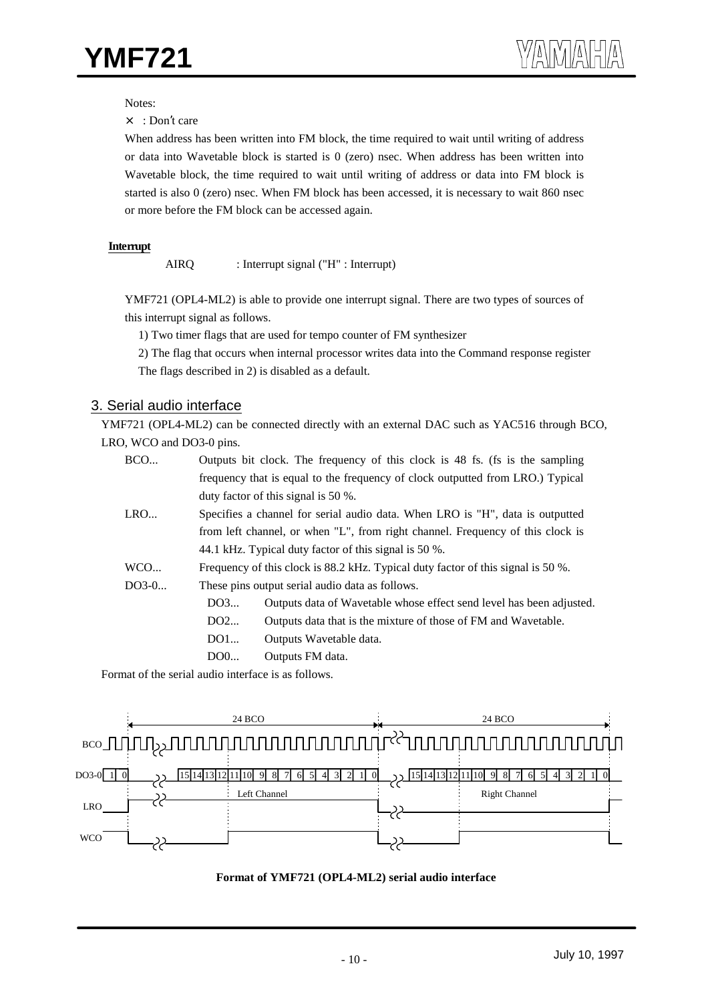Notes:

× : Don't care

When address has been written into FM block, the time required to wait until writing of address or data into Wavetable block is started is 0 (zero) nsec. When address has been written into Wavetable block, the time required to wait until writing of address or data into FM block is started is also 0 (zero) nsec. When FM block has been accessed, it is necessary to wait 860 nsec or more before the FM block can be accessed again.

#### **Interrupt**

AIRQ : Interrupt signal ("H" : Interrupt)

YMF721 (OPL4-ML2) is able to provide one interrupt signal. There are two types of sources of this interrupt signal as follows.

1) Two timer flags that are used for tempo counter of FM synthesizer

2) The flag that occurs when internal processor writes data into the Command response register The flags described in 2) is disabled as a default.

#### 3. Serial audio interface

YMF721 (OPL4-ML2) can be connected directly with an external DAC such as YAC516 through BCO, LRO, WCO and DO3-0 pins.

| BCO     | Outputs bit clock. The frequency of this clock is 48 fs. (fs is the sampling |                                                                                  |  |  |  |  |  |  |
|---------|------------------------------------------------------------------------------|----------------------------------------------------------------------------------|--|--|--|--|--|--|
|         |                                                                              | frequency that is equal to the frequency of clock outputted from LRO.) Typical   |  |  |  |  |  |  |
|         |                                                                              | duty factor of this signal is $50\%$ .                                           |  |  |  |  |  |  |
| LRO     |                                                                              | Specifies a channel for serial audio data. When LRO is "H", data is outputted    |  |  |  |  |  |  |
|         |                                                                              | from left channel, or when "L", from right channel. Frequency of this clock is   |  |  |  |  |  |  |
|         |                                                                              | 44.1 kHz. Typical duty factor of this signal is 50 %.                            |  |  |  |  |  |  |
| WCO     |                                                                              | Frequency of this clock is 88.2 kHz. Typical duty factor of this signal is 50 %. |  |  |  |  |  |  |
| $DO3-0$ |                                                                              | These pins output serial audio data as follows.                                  |  |  |  |  |  |  |
|         | DO3                                                                          | Outputs data of Wavetable whose effect send level has been adjusted.             |  |  |  |  |  |  |
|         | DO2                                                                          | Outputs data that is the mixture of those of FM and Wavetable.                   |  |  |  |  |  |  |
|         | DO1                                                                          | Outputs Wavetable data.                                                          |  |  |  |  |  |  |
|         | DO0                                                                          | Outputs FM data.                                                                 |  |  |  |  |  |  |

Format of the serial audio interface is as follows.



#### **Format of YMF721 (OPL4-ML2) serial audio interface**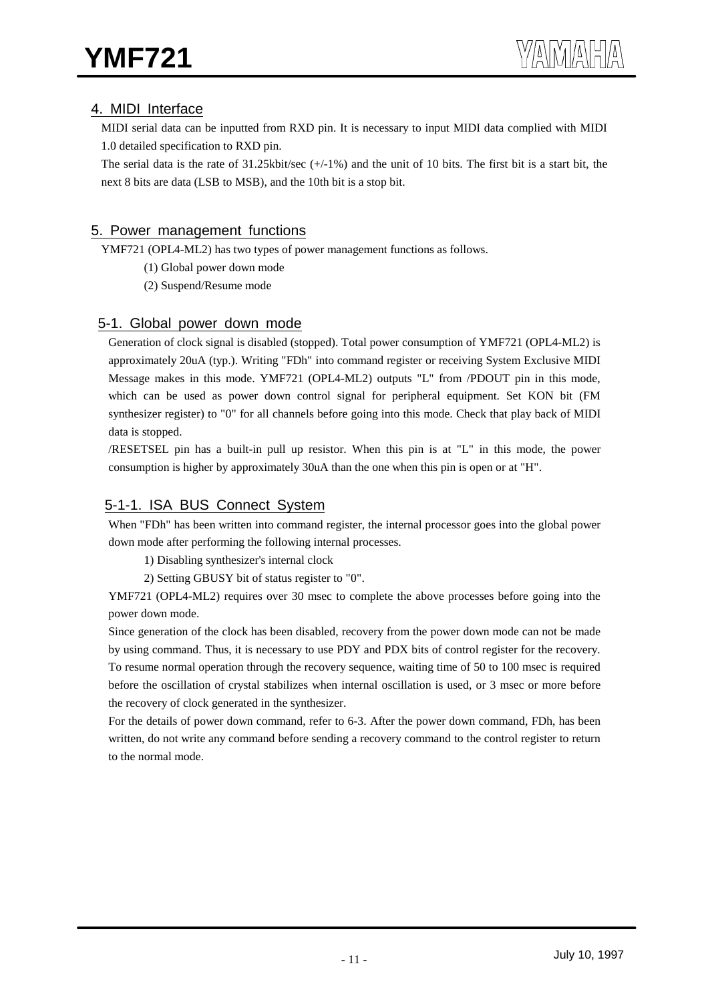## 4. MIDI Interface

MIDI serial data can be inputted from RXD pin. It is necessary to input MIDI data complied with MIDI 1.0 detailed specification to RXD pin.

The serial data is the rate of  $31.25$ kbit/sec  $(+/-1\%)$  and the unit of 10 bits. The first bit is a start bit, the next 8 bits are data (LSB to MSB), and the 10th bit is a stop bit.

## 5. Power management functions

YMF721 (OPL4-ML2) has two types of power management functions as follows.

- (1) Global power down mode
- (2) Suspend/Resume mode

## 5-1. Global power down mode

Generation of clock signal is disabled (stopped). Total power consumption of YMF721 (OPL4-ML2) is approximately 20uA (typ.). Writing "FDh" into command register or receiving System Exclusive MIDI Message makes in this mode. YMF721 (OPL4-ML2) outputs "L" from /PDOUT pin in this mode, which can be used as power down control signal for peripheral equipment. Set KON bit (FM synthesizer register) to "0" for all channels before going into this mode. Check that play back of MIDI data is stopped.

/RESETSEL pin has a built-in pull up resistor. When this pin is at "L" in this mode, the power consumption is higher by approximately 30uA than the one when this pin is open or at "H".

## 5-1-1. ISA BUS Connect System

When "FDh" has been written into command register, the internal processor goes into the global power down mode after performing the following internal processes.

1) Disabling synthesizer's internal clock

2) Setting GBUSY bit of status register to "0".

YMF721 (OPL4-ML2) requires over 30 msec to complete the above processes before going into the power down mode.

Since generation of the clock has been disabled, recovery from the power down mode can not be made by using command. Thus, it is necessary to use PDY and PDX bits of control register for the recovery. To resume normal operation through the recovery sequence, waiting time of 50 to 100 msec is required before the oscillation of crystal stabilizes when internal oscillation is used, or 3 msec or more before the recovery of clock generated in the synthesizer.

For the details of power down command, refer to 6-3. After the power down command, FDh, has been written, do not write any command before sending a recovery command to the control register to return to the normal mode.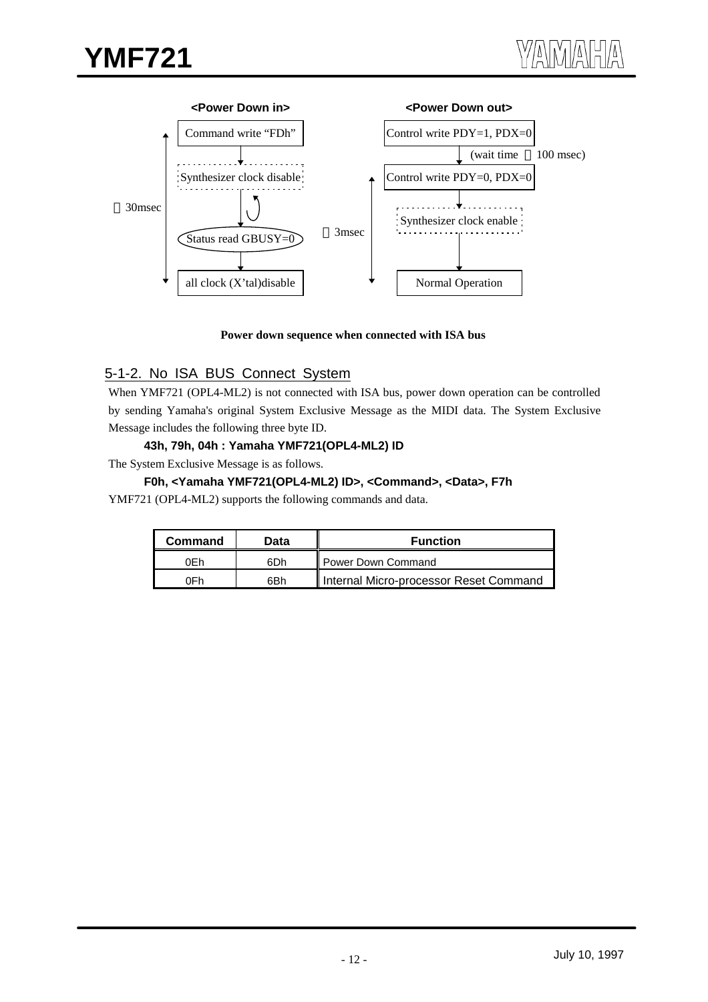

#### **Power down sequence when connected with ISA bus**

## 5-1-2. No ISA BUS Connect System

When YMF721 (OPL4-ML2) is not connected with ISA bus, power down operation can be controlled by sending Yamaha's original System Exclusive Message as the MIDI data. The System Exclusive Message includes the following three byte ID.

#### **43h, 79h, 04h : Yamaha YMF721(OPL4-ML2) ID**

The System Exclusive Message is as follows.

#### **F0h, <Yamaha YMF721(OPL4-ML2) ID>, <Command>, <Data>, F7h**

YMF721 (OPL4-ML2) supports the following commands and data.

| Command | Data | <b>Function</b>                        |
|---------|------|----------------------------------------|
| 0Fh     | 6Dh  | Il Power Down Command                  |
| 0Fh.    | 6Bh  | Internal Micro-processor Reset Command |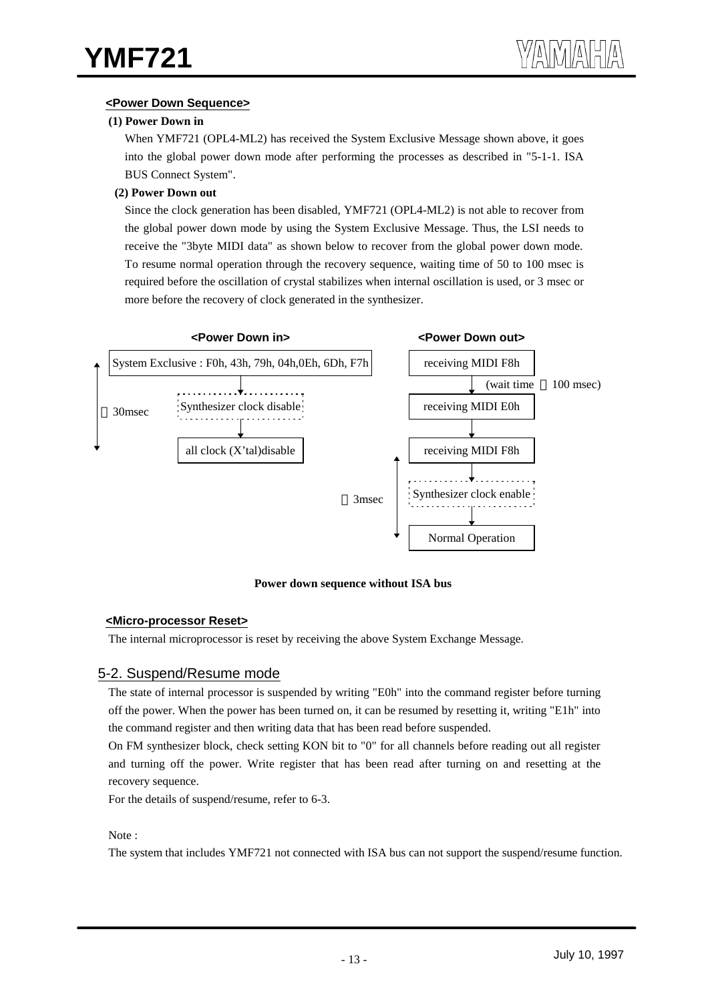#### **<Power Down Sequence>**

#### **(1) Power Down in**

When YMF721 (OPL4-ML2) has received the System Exclusive Message shown above, it goes into the global power down mode after performing the processes as described in "5-1-1. ISA BUS Connect System".

#### **(2) Power Down out**

Since the clock generation has been disabled, YMF721 (OPL4-ML2) is not able to recover from the global power down mode by using the System Exclusive Message. Thus, the LSI needs to receive the "3byte MIDI data" as shown below to recover from the global power down mode. To resume normal operation through the recovery sequence, waiting time of 50 to 100 msec is required before the oscillation of crystal stabilizes when internal oscillation is used, or 3 msec or more before the recovery of clock generated in the synthesizer.



#### **Power down sequence without ISA bus**

#### **<Micro-processor Reset>**

The internal microprocessor is reset by receiving the above System Exchange Message.

## 5-2. Suspend/Resume mode

The state of internal processor is suspended by writing "E0h" into the command register before turning off the power. When the power has been turned on, it can be resumed by resetting it, writing "E1h" into the command register and then writing data that has been read before suspended.

On FM synthesizer block, check setting KON bit to "0" for all channels before reading out all register and turning off the power. Write register that has been read after turning on and resetting at the recovery sequence.

For the details of suspend/resume, refer to 6-3.

#### Note :

The system that includes YMF721 not connected with ISA bus can not support the suspend/resume function.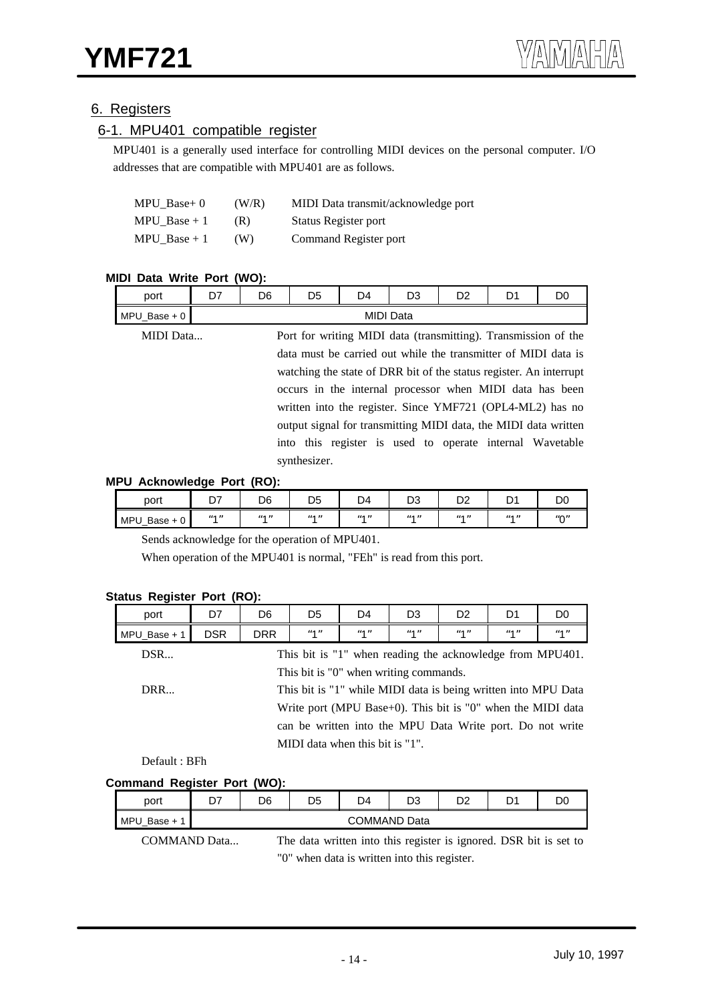## 6. Registers

## 6-1. MPU401 compatible register

MPU401 is a generally used interface for controlling MIDI devices on the personal computer. I/O addresses that are compatible with MPU401 are as follows.

| $MPU$ Base+ 0 | (W/R) | MIDI Data transmit/acknowledge port |
|---------------|-------|-------------------------------------|
| MPU Base $+1$ | (R)   | Status Register port                |
| MPU Base $+1$ | (W)   | Command Register port               |

#### **MIDI Data Write Port (WO):**

| port               | n7 | D6               | D5 | D4 | n^<br>טש | -- | ∽<br>ັ | DC |  |
|--------------------|----|------------------|----|----|----------|----|--------|----|--|
| MPU_<br>$Base + 0$ |    | <b>MIDI Data</b> |    |    |          |    |        |    |  |
|                    |    |                  |    |    |          |    |        |    |  |

| MIDI Data | Port for writing MIDI data (transmitting). Transmission of the     |
|-----------|--------------------------------------------------------------------|
|           | data must be carried out while the transmitter of MIDI data is     |
|           | watching the state of DRR bit of the status register. An interrupt |
|           | occurs in the internal processor when MIDI data has been           |
|           | written into the register. Since YMF721 (OPL4-ML2) has no          |
|           | output signal for transmitting MIDI data, the MIDI data written    |
|           | into this register is used to operate internal Wavetable           |
|           | synthesizer.                                                       |

#### **MPU Acknowledge Port (RO):**

| port                            | ~-<br>້       | D6 | D <sub>5</sub>                  | D <sub>4</sub> | n,<br>υs                      | n c<br>--     | <sub>n</sub><br>- | DC                       |
|---------------------------------|---------------|----|---------------------------------|----------------|-------------------------------|---------------|-------------------|--------------------------|
| <b>MPU</b><br>$Base + 0$<br>−ט_ | $\mu$ 4 $\mu$ | A  | $\overline{u}$ 4 $\overline{u}$ | $\mu$ 4 $\mu$  | $\overline{u}$ $\overline{u}$ | $\mu$ A $\mu$ | $\mu$ A $\mu$     | $^{\prime\prime}$ $\cap$ |

Sends acknowledge for the operation of MPU401.

When operation of the MPU401 is normal, "FEh" is read from this port.

| D7                                     | D <sub>6</sub>                                            | D <sub>5</sub> | D4  | D3                  | D <sub>2</sub>                        | D1  | D <sub>0</sub>                                                                                                                |  |  |
|----------------------------------------|-----------------------------------------------------------|----------------|-----|---------------------|---------------------------------------|-----|-------------------------------------------------------------------------------------------------------------------------------|--|--|
| <b>DSR</b>                             | DRR.                                                      | "1"            | "1" | $^{\prime\prime}$ 1 | $^{\prime\prime}$ 1 $^{\prime\prime}$ | "1" | $^{\prime\prime}$ 1 $^{\prime\prime}$                                                                                         |  |  |
|                                        | This bit is "1" when reading the acknowledge from MPU401. |                |     |                     |                                       |     |                                                                                                                               |  |  |
| This bit is "0" when writing commands. |                                                           |                |     |                     |                                       |     |                                                                                                                               |  |  |
|                                        |                                                           |                |     |                     |                                       |     |                                                                                                                               |  |  |
|                                        |                                                           |                |     |                     |                                       |     |                                                                                                                               |  |  |
|                                        | can be written into the MPU Data Write port. Do not write |                |     |                     |                                       |     |                                                                                                                               |  |  |
| MIDI data when this bit is "1".        |                                                           |                |     |                     |                                       |     |                                                                                                                               |  |  |
|                                        |                                                           |                |     |                     |                                       |     | This bit is "1" while MIDI data is being written into MPU Data<br>Write port (MPU Base+0). This bit is "0" when the MIDI data |  |  |

#### **Status Register Port (RO):**

Default : BFh

#### **Command Register Port (WO):**

| port                                         | D7 | D6                  | D5                                                                | D4 | D3 | D2 | D1 | DC |  |  |
|----------------------------------------------|----|---------------------|-------------------------------------------------------------------|----|----|----|----|----|--|--|
| MPU Base $+1$                                |    | <b>COMMAND Data</b> |                                                                   |    |    |    |    |    |  |  |
| <b>COMMAND Data</b>                          |    |                     | The data written into this register is ignored. DSR bit is set to |    |    |    |    |    |  |  |
| "0" when data is written into this register. |    |                     |                                                                   |    |    |    |    |    |  |  |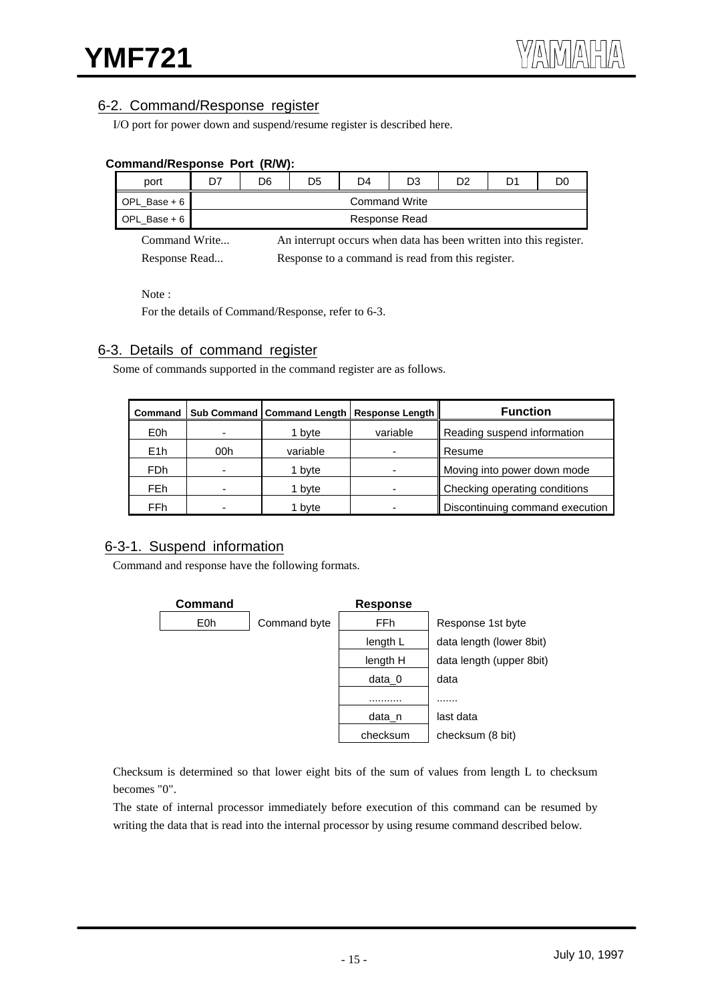## 6-2. Command/Response register

I/O port for power down and suspend/resume register is described here.

| OIIIIIIaIIU/Respolise Polt (R/W). |    |                      |                                                   |                                                                    |    |    |    |    |  |
|-----------------------------------|----|----------------------|---------------------------------------------------|--------------------------------------------------------------------|----|----|----|----|--|
| port                              | D7 | D6                   | D5                                                | D4                                                                 | D3 | D2 | D1 | D0 |  |
| OPL Base $+6$                     |    | <b>Command Write</b> |                                                   |                                                                    |    |    |    |    |  |
| OPL Base + $6$                    |    | Response Read        |                                                   |                                                                    |    |    |    |    |  |
| Command Write                     |    |                      |                                                   | An interrupt occurs when data has been written into this register. |    |    |    |    |  |
| Response Read                     |    |                      | Response to a command is read from this register. |                                                                    |    |    |    |    |  |

## **Command/Response Port (R/W):**

Note :

For the details of Command/Response, refer to 6-3.

## 6-3. Details of command register

Some of commands supported in the command register are as follows.

|                  |                          |          | Command   Sub Command   Command Length   Response Length | <b>Function</b>                 |  |  |
|------------------|--------------------------|----------|----------------------------------------------------------|---------------------------------|--|--|
| E <sub>0</sub> h |                          | 1 byte   | variable                                                 | Reading suspend information     |  |  |
| E1h              | 00h                      | variable |                                                          | Resume                          |  |  |
| FDh              |                          | 1 byte   |                                                          | Moving into power down mode     |  |  |
| <b>FEh</b>       | $\overline{\phantom{0}}$ | 1 byte   |                                                          | Checking operating conditions   |  |  |
| FFh              |                          | 1 byte   | -                                                        | Discontinuing command execution |  |  |

## 6-3-1. Suspend information

Command and response have the following formats.



Checksum is determined so that lower eight bits of the sum of values from length L to checksum becomes "0".

The state of internal processor immediately before execution of this command can be resumed by writing the data that is read into the internal processor by using resume command described below.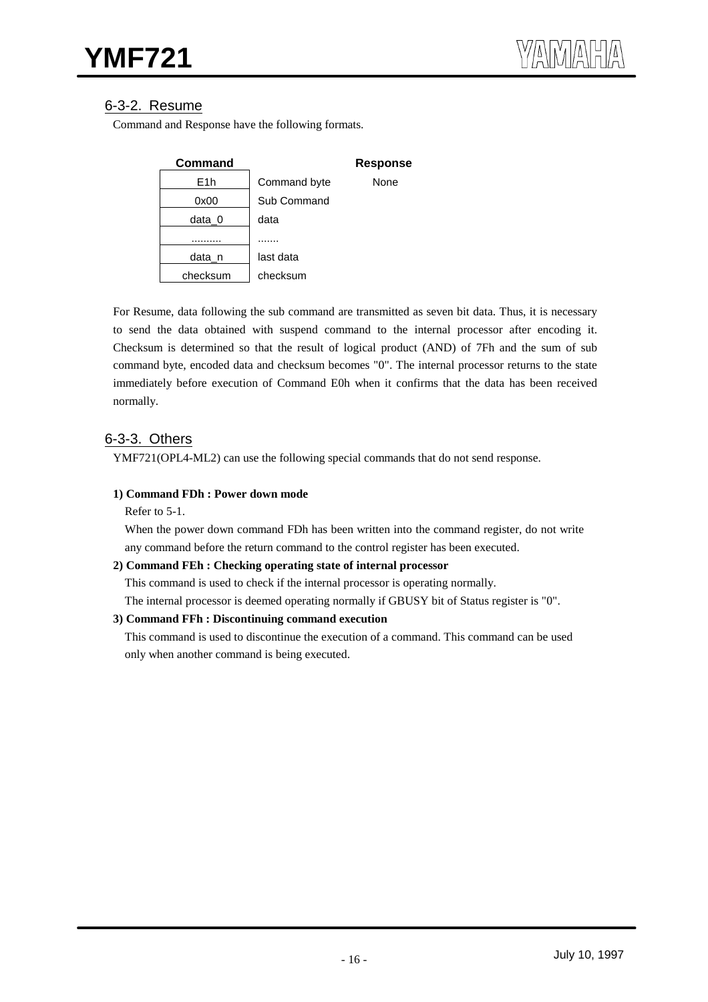## 6-3-2. Resume

Command and Response have the following formats.

| Command  |              | <b>Response</b> |
|----------|--------------|-----------------|
| E1h      | Command byte | None            |
| 0x00     | Sub Command  |                 |
| data 0   | data         |                 |
|          |              |                 |
| data n   | last data    |                 |
| checksum | checksum     |                 |

For Resume, data following the sub command are transmitted as seven bit data. Thus, it is necessary to send the data obtained with suspend command to the internal processor after encoding it. Checksum is determined so that the result of logical product (AND) of 7Fh and the sum of sub command byte, encoded data and checksum becomes "0". The internal processor returns to the state immediately before execution of Command E0h when it confirms that the data has been received normally.

## 6-3-3. Others

YMF721(OPL4-ML2) can use the following special commands that do not send response.

#### **1) Command FDh : Power down mode**

Refer to 5-1.

When the power down command FDh has been written into the command register, do not write any command before the return command to the control register has been executed.

#### **2) Command FEh : Checking operating state of internal processor**

This command is used to check if the internal processor is operating normally.

The internal processor is deemed operating normally if GBUSY bit of Status register is "0".

#### **3) Command FFh : Discontinuing command execution**

This command is used to discontinue the execution of a command. This command can be used only when another command is being executed.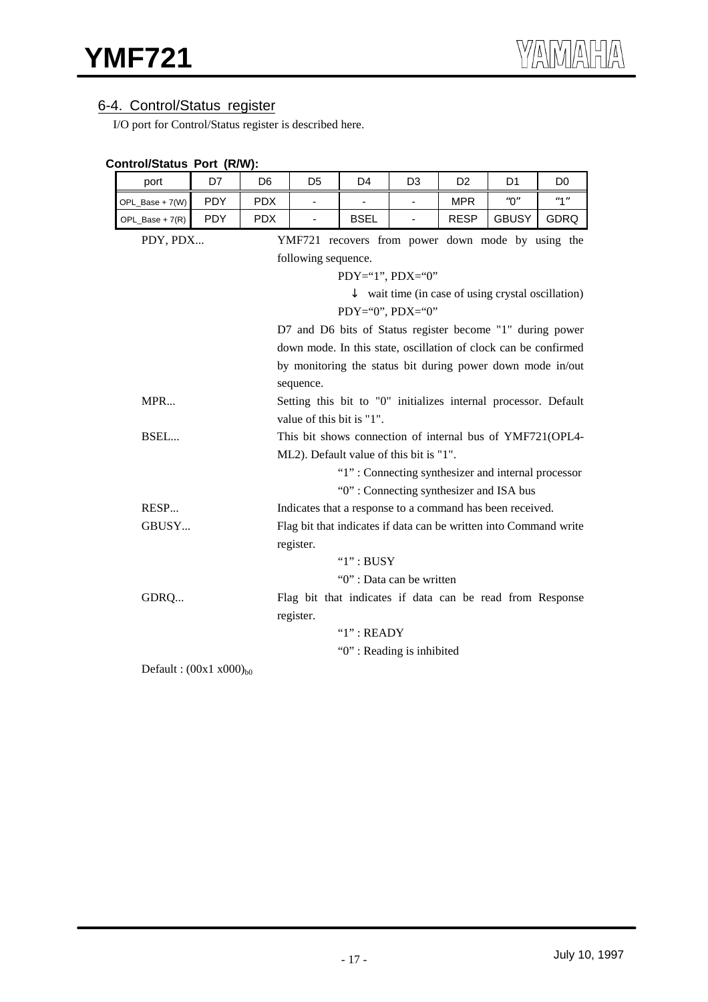## 6-4. Control/Status register

I/O port for Control/Status register is described here.

| Control/Status Port (R/W):  |            |                |                                                   |                |                                         |                |                                                                   |                |  |  |
|-----------------------------|------------|----------------|---------------------------------------------------|----------------|-----------------------------------------|----------------|-------------------------------------------------------------------|----------------|--|--|
| port                        | D7         | D <sub>6</sub> | D <sub>5</sub>                                    | D <sub>4</sub> | D <sub>3</sub>                          | D <sub>2</sub> | D1                                                                | D <sub>0</sub> |  |  |
| OPL_Base + 7(W)             | <b>PDY</b> | <b>PDX</b>     |                                                   |                | ÷,                                      | <b>MPR</b>     | "0"                                                               | "1"            |  |  |
| OPL_Base + 7(R)             | <b>PDY</b> | <b>PDX</b>     | $\overline{\phantom{a}}$                          | <b>BSEL</b>    | ÷.                                      | <b>RESP</b>    | <b>GBUSY</b>                                                      | GDRQ           |  |  |
| PDY, PDX                    |            |                | YMF721 recovers from power down mode by using the |                |                                         |                |                                                                   |                |  |  |
|                             |            |                | following sequence.                               |                |                                         |                |                                                                   |                |  |  |
|                             |            |                |                                                   |                | $PDY=``1", PDX=``0"$                    |                |                                                                   |                |  |  |
|                             |            |                |                                                   |                |                                         |                | wait time (in case of using crystal oscillation)                  |                |  |  |
|                             |            |                |                                                   |                | $PDY='0", PDX='0"$                      |                |                                                                   |                |  |  |
|                             |            |                |                                                   |                |                                         |                | D7 and D6 bits of Status register become "1" during power         |                |  |  |
|                             |            |                |                                                   |                |                                         |                | down mode. In this state, oscillation of clock can be confirmed   |                |  |  |
|                             |            |                |                                                   |                |                                         |                | by monitoring the status bit during power down mode in/out        |                |  |  |
|                             |            |                | sequence.                                         |                |                                         |                |                                                                   |                |  |  |
| MPR                         |            |                |                                                   |                |                                         |                | Setting this bit to "0" initializes internal processor. Default   |                |  |  |
|                             |            |                | value of this bit is "1".                         |                |                                         |                |                                                                   |                |  |  |
| BSEL                        |            |                |                                                   |                |                                         |                | This bit shows connection of internal bus of YMF721(OPL4-         |                |  |  |
|                             |            |                |                                                   |                | ML2). Default value of this bit is "1". |                |                                                                   |                |  |  |
|                             |            |                |                                                   |                |                                         |                | "1": Connecting synthesizer and internal processor                |                |  |  |
|                             |            |                |                                                   |                | "0": Connecting synthesizer and ISA bus |                |                                                                   |                |  |  |
| RESP                        |            |                |                                                   |                |                                         |                | Indicates that a response to a command has been received.         |                |  |  |
| GBUSY                       |            |                |                                                   |                |                                         |                | Flag bit that indicates if data can be written into Command write |                |  |  |
|                             |            |                | register.                                         |                |                                         |                |                                                                   |                |  |  |
|                             |            |                |                                                   | "1" : BUSY     |                                         |                |                                                                   |                |  |  |
|                             |            |                |                                                   |                | "0": Data can be written                |                |                                                                   |                |  |  |
| GDRQ                        |            |                |                                                   |                |                                         |                | Flag bit that indicates if data can be read from Response         |                |  |  |
|                             |            |                | register.                                         |                |                                         |                |                                                                   |                |  |  |
|                             |            |                |                                                   | "1" : READV    |                                         |                |                                                                   |                |  |  |
|                             |            |                |                                                   |                | "0": Reading is inhibited               |                |                                                                   |                |  |  |
| Default: $(00x1 x000)_{b0}$ |            |                |                                                   |                |                                         |                |                                                                   |                |  |  |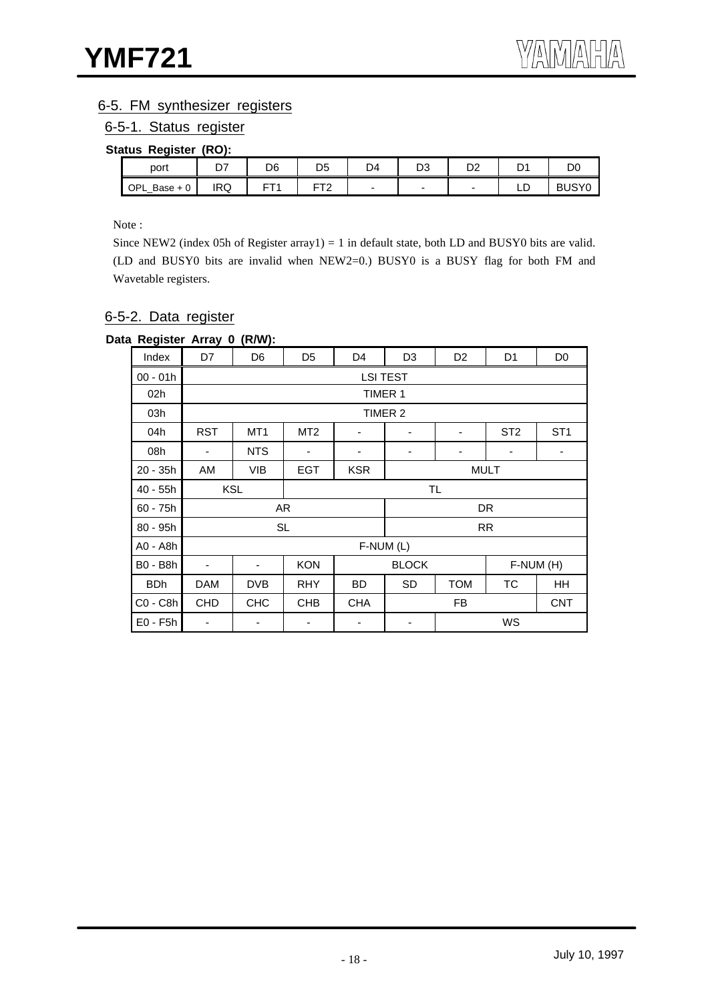## 6-5. FM synthesizer registers

6-5-1. Status register

#### **Status Register (RO):**

| port         | n7<br>ו ש | D6       | D5               | D4 | טש | r. | r | DC                      |
|--------------|-----------|----------|------------------|----|----|----|---|-------------------------|
| OPL_Base + 0 | IRQ       | --<br>L. | ——<br>. <u>.</u> |    | -  | -  | ᆸ | <b>IQVC</b><br>וס<br>◡◡ |

Note :

Since NEW2 (index 05h of Register array1) = 1 in default state, both LD and BUSY0 bits are valid. (LD and BUSY0 bits are invalid when NEW2=0.) BUSY0 is a BUSY flag for both FM and Wavetable registers.

## 6-5-2. Data register

#### **Data Register Array 0 (R/W):**

| Index           | D7                       | D <sub>6</sub>           | D <sub>5</sub>  | D4              | D <sub>3</sub>         | D <sub>2</sub> | D <sub>1</sub>  | D <sub>0</sub>  |  |
|-----------------|--------------------------|--------------------------|-----------------|-----------------|------------------------|----------------|-----------------|-----------------|--|
| $00 - 01h$      |                          |                          |                 | <b>LSI TEST</b> |                        |                |                 |                 |  |
| 02h             |                          |                          |                 | TIMER 1         |                        |                |                 |                 |  |
| 03h             |                          |                          |                 |                 | TIMER 2                |                |                 |                 |  |
| 04h             | <b>RST</b>               | MT <sub>1</sub>          | MT <sub>2</sub> | ۰               | -                      | ۰              | ST <sub>2</sub> | ST <sub>1</sub> |  |
| 08h             | ۰                        | <b>NTS</b>               | ۰               | ۰               |                        |                | ٠               | ٠               |  |
| $20 - 35h$      | AM                       | <b>VIB</b>               | <b>EGT</b>      | <b>KSR</b>      | <b>MULT</b>            |                |                 |                 |  |
| 40 - 55h        |                          | <b>KSL</b><br><b>TL</b>  |                 |                 |                        |                |                 |                 |  |
| $60 - 75h$      |                          |                          | AR              |                 | DR                     |                |                 |                 |  |
| $80 - 95h$      |                          |                          | <b>SL</b>       |                 | <b>RR</b>              |                |                 |                 |  |
| A0 - A8h        |                          |                          |                 | F-NUM (L)       |                        |                |                 |                 |  |
| <b>B0 - B8h</b> | $\overline{\phantom{a}}$ | $\overline{\phantom{a}}$ | <b>KON</b>      |                 | <b>BLOCK</b>           |                |                 | F-NUM (H)       |  |
| <b>BDh</b>      | <b>DAM</b>               | DVB                      | <b>RHY</b>      | <b>BD</b>       | ТC<br>SD<br><b>TOM</b> |                |                 | HH              |  |
| C0 - C8h        | <b>CHD</b>               | <b>CHC</b>               | <b>CHB</b>      | <b>CHA</b>      | FB<br><b>CNT</b>       |                |                 |                 |  |
| $E0 - F5h$      | -                        |                          |                 |                 |                        |                | WS              |                 |  |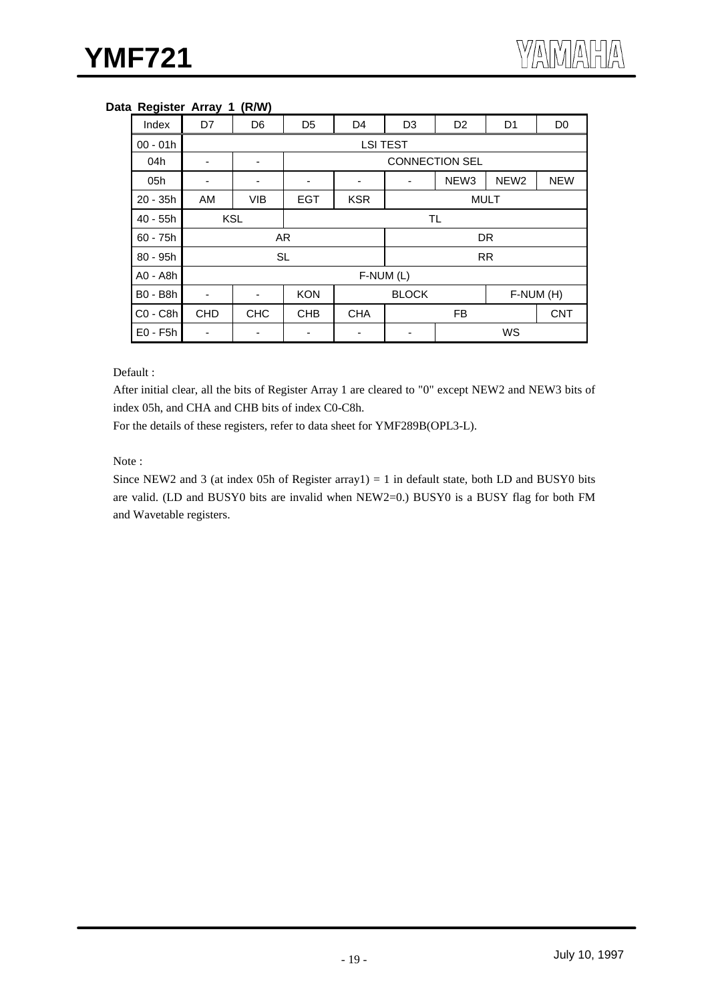#### **Data Register Array 1 (R/W)**

| Index           | D7         | D <sub>6</sub> | D <sub>5</sub> | D <sub>4</sub>        | D <sub>3</sub>                       | D <sub>2</sub> | D <sub>1</sub> | D <sub>0</sub> |  |
|-----------------|------------|----------------|----------------|-----------------------|--------------------------------------|----------------|----------------|----------------|--|
| $00 - 01h$      |            |                |                | <b>LSI TEST</b>       |                                      |                |                |                |  |
| 04h             | -          | -              |                | <b>CONNECTION SEL</b> |                                      |                |                |                |  |
| 05h             | ٠          | ۰              | -              | -                     | NEW <sub>3</sub><br>NEW <sub>2</sub> |                |                | <b>NEW</b>     |  |
| $20 - 35h$      | AM         | <b>VIB</b>     | <b>EGT</b>     | <b>KSR</b>            |                                      | <b>MULT</b>    |                |                |  |
| $40 - 55h$      | <b>KSL</b> |                | <b>TL</b>      |                       |                                      |                |                |                |  |
| $60 - 75h$      |            |                | AR             |                       |                                      | <b>DR</b>      |                |                |  |
| 80 - 95h        |            | <b>SL</b>      |                |                       | <b>RR</b>                            |                |                |                |  |
| A0 - A8h        |            |                |                | F-NUM (L)             |                                      |                |                |                |  |
| <b>B0 - B8h</b> |            | -              | <b>KON</b>     |                       | <b>BLOCK</b>                         |                | F-NUM (H)      |                |  |
| C0 - C8h        | <b>CHD</b> | <b>CHC</b>     | <b>CHB</b>     | <b>CHA</b>            | <b>FB</b>                            |                |                | <b>CNT</b>     |  |
| $E0 - F5h$      |            |                |                |                       |                                      |                | WS             |                |  |

#### Default :

After initial clear, all the bits of Register Array 1 are cleared to "0" except NEW2 and NEW3 bits of index 05h, and CHA and CHB bits of index C0-C8h.

For the details of these registers, refer to data sheet for YMF289B(OPL3-L).

#### Note :

Since NEW2 and 3 (at index 05h of Register array1) = 1 in default state, both LD and BUSY0 bits are valid. (LD and BUSY0 bits are invalid when NEW2=0.) BUSY0 is a BUSY flag for both FM and Wavetable registers.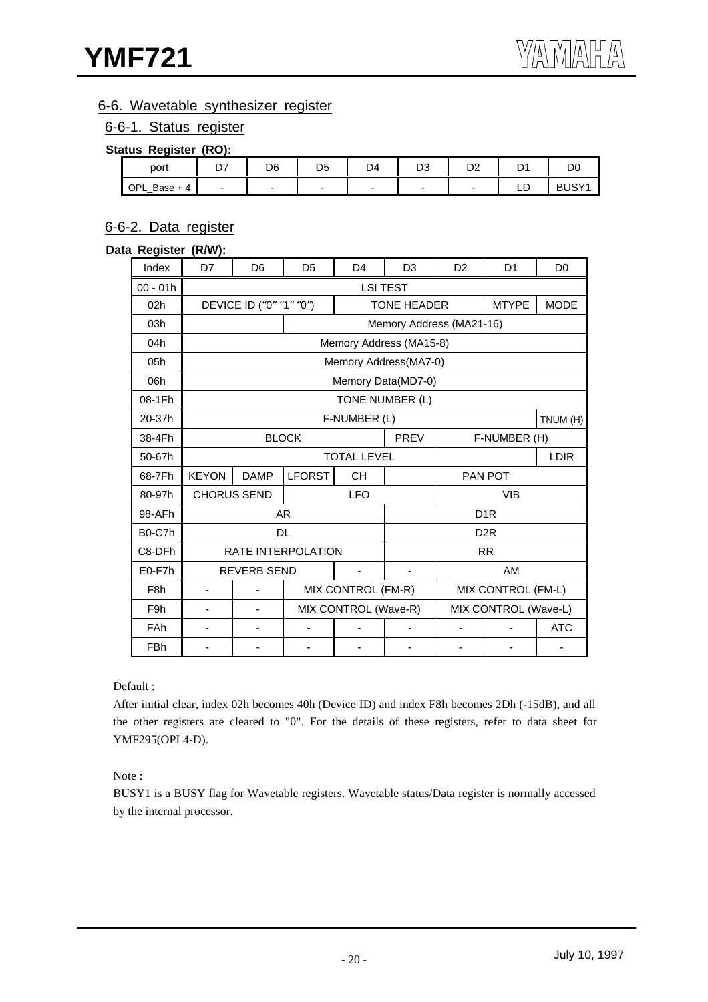## 6-6. Wavetable synthesizer register

#### 6-6-1. Status register

#### **Status Register (RO):**

| port            | --<br>- ' | D <sub>6</sub> | D5 | D4 | ~~<br>υə | ◡ |    |       |
|-----------------|-----------|----------------|----|----|----------|---|----|-------|
| OPL<br>Base + 4 |           |                |    |    |          | - | -- | BUSY1 |

## 6-6-2. Data register

#### **Data Register (R/W):**

| Index            | D7                       | D <sub>6</sub>              | D <sub>5</sub>          | D <sub>4</sub>       | D <sub>3</sub>           | D <sub>2</sub> | D <sub>1</sub>       | D <sub>0</sub> |  |
|------------------|--------------------------|-----------------------------|-------------------------|----------------------|--------------------------|----------------|----------------------|----------------|--|
| $00 - 01h$       | <b>LSI TEST</b>          |                             |                         |                      |                          |                |                      |                |  |
| 02h              |                          | DEVICE ID ("0" "1" "0")     |                         |                      | <b>TONE HEADER</b>       |                | <b>MTYPE</b>         | <b>MODE</b>    |  |
| 03h              |                          |                             |                         |                      | Memory Address (MA21-16) |                |                      |                |  |
| 04h              |                          |                             |                         |                      | Memory Address (MA15-8)  |                |                      |                |  |
| 05h              |                          |                             |                         |                      | Memory Address(MA7-0)    |                |                      |                |  |
| 06h              |                          |                             |                         |                      | Memory Data(MD7-0)       |                |                      |                |  |
| 08-1Fh           |                          |                             |                         | TONE NUMBER (L)      |                          |                |                      |                |  |
| 20-37h           |                          |                             |                         | F-NUMBER (L)         |                          |                |                      | TNUM (H)       |  |
| 38-4Fh           |                          | <b>BLOCK</b><br><b>PREV</b> |                         |                      |                          |                | F-NUMBER (H)         |                |  |
| 50-67h           |                          |                             |                         | <b>TOTAL LEVEL</b>   |                          | <b>LDIR</b>    |                      |                |  |
| 68-7Fh           | <b>KEYON</b>             | <b>DAMP</b>                 | <b>LFORST</b>           | <b>CH</b>            |                          | <b>PAN POT</b> |                      |                |  |
| 80-97h           | <b>CHORUS SEND</b>       |                             |                         | <b>LFO</b>           | <b>VIB</b>               |                |                      |                |  |
| 98-AFh           |                          |                             | AR.<br>D <sub>1</sub> R |                      |                          |                |                      |                |  |
| B0-C7h           |                          |                             | <b>DL</b>               |                      |                          |                | D <sub>2</sub> R     |                |  |
| C8-DFh           |                          |                             | RATE INTERPOLATION      |                      |                          |                | <b>RR</b>            |                |  |
| E0-F7h           |                          | <b>REVERB SEND</b>          |                         |                      |                          |                | AM                   |                |  |
| F <sub>8</sub> h | $\overline{\phantom{a}}$ |                             |                         | MIX CONTROL (FM-R)   |                          |                | MIX CONTROL (FM-L)   |                |  |
| F <sub>9</sub> h |                          |                             |                         | MIX CONTROL (Wave-R) |                          |                | MIX CONTROL (Wave-L) |                |  |
| FAh              |                          |                             |                         |                      |                          |                |                      | <b>ATC</b>     |  |
| <b>FBh</b>       |                          |                             |                         |                      |                          |                |                      |                |  |

Default :

After initial clear, index 02h becomes 40h (Device ID) and index F8h becomes 2Dh (-15dB), and all the other registers are cleared to "0". For the details of these registers, refer to data sheet for YMF295(OPL4-D).

#### Note :

BUSY1 is a BUSY flag for Wavetable registers. Wavetable status/Data register is normally accessed by the internal processor.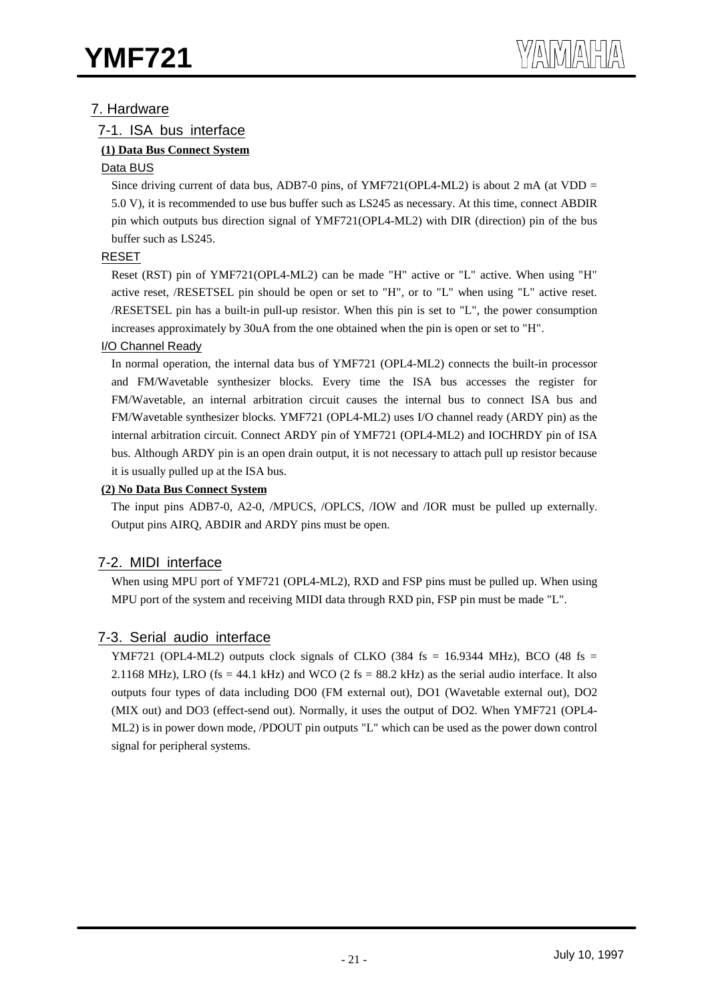## 7. Hardware

## 7-1. ISA bus interface

## **(1) Data Bus Connect System**

## Data BUS

Since driving current of data bus, ADB7-0 pins, of YMF721(OPL4-ML2) is about 2 mA (at VDD = 5.0 V), it is recommended to use bus buffer such as LS245 as necessary. At this time, connect ABDIR pin which outputs bus direction signal of YMF721(OPL4-ML2) with DIR (direction) pin of the bus buffer such as LS245.

## RESET

Reset (RST) pin of YMF721(OPL4-ML2) can be made "H" active or "L" active. When using "H" active reset, /RESETSEL pin should be open or set to "H", or to "L" when using "L" active reset. /RESETSEL pin has a built-in pull-up resistor. When this pin is set to "L", the power consumption increases approximately by 30uA from the one obtained when the pin is open or set to "H".

## I/O Channel Ready

In normal operation, the internal data bus of YMF721 (OPL4-ML2) connects the built-in processor and FM/Wavetable synthesizer blocks. Every time the ISA bus accesses the register for FM/Wavetable, an internal arbitration circuit causes the internal bus to connect ISA bus and FM/Wavetable synthesizer blocks. YMF721 (OPL4-ML2) uses I/O channel ready (ARDY pin) as the internal arbitration circuit. Connect ARDY pin of YMF721 (OPL4-ML2) and IOCHRDY pin of ISA bus. Although ARDY pin is an open drain output, it is not necessary to attach pull up resistor because it is usually pulled up at the ISA bus.

## **(2) No Data Bus Connect System**

The input pins ADB7-0, A2-0, /MPUCS, /OPLCS, /IOW and /IOR must be pulled up externally. Output pins AIRQ, ABDIR and ARDY pins must be open.

## 7-2. MIDI interface

When using MPU port of YMF721 (OPL4-ML2), RXD and FSP pins must be pulled up. When using MPU port of the system and receiving MIDI data through RXD pin, FSP pin must be made "L".

## 7-3. Serial audio interface

YMF721 (OPL4-ML2) outputs clock signals of CLKO (384 fs = 16.9344 MHz), BCO (48 fs = 2.1168 MHz), LRO (fs = 44.1 kHz) and WCO (2 fs = 88.2 kHz) as the serial audio interface. It also outputs four types of data including DO0 (FM external out), DO1 (Wavetable external out), DO2 (MIX out) and DO3 (effect-send out). Normally, it uses the output of DO2. When YMF721 (OPL4- ML2) is in power down mode, /PDOUT pin outputs "L" which can be used as the power down control signal for peripheral systems.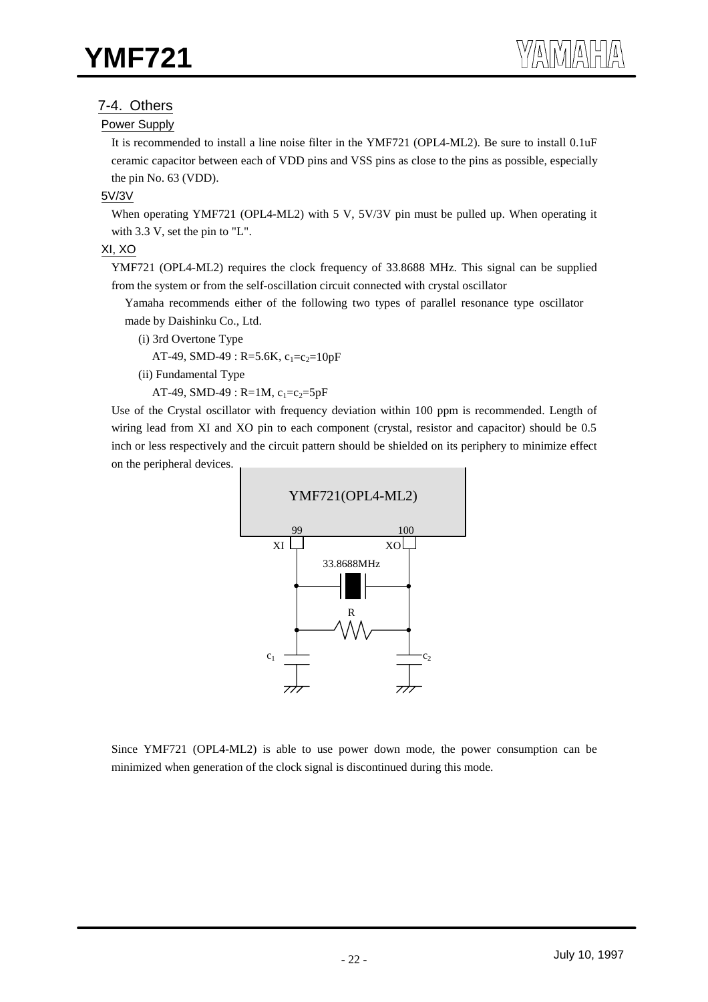## 7-4. Others

#### Power Supply

It is recommended to install a line noise filter in the YMF721 (OPL4-ML2). Be sure to install 0.1uF ceramic capacitor between each of VDD pins and VSS pins as close to the pins as possible, especially the pin No. 63 (VDD).

#### 5V/3V

When operating YMF721 (OPL4-ML2) with 5 V, 5V/3V pin must be pulled up. When operating it with 3.3 V, set the pin to "L".

#### XI, XO

YMF721 (OPL4-ML2) requires the clock frequency of 33.8688 MHz. This signal can be supplied from the system or from the self-oscillation circuit connected with crystal oscillator

Yamaha recommends either of the following two types of parallel resonance type oscillator made by Daishinku Co., Ltd.

(i) 3rd Overtone Type

AT-49, SMD-49 : R=5.6K,  $c_1 = c_2 = 10pF$ 

(ii) Fundamental Type

AT-49, SMD-49 : R=1M,  $c_1 = c_2 = 5pF$ 

Use of the Crystal oscillator with frequency deviation within 100 ppm is recommended. Length of wiring lead from XI and XO pin to each component (crystal, resistor and capacitor) should be 0.5 inch or less respectively and the circuit pattern should be shielded on its periphery to minimize effect on the peripheral devices.



Since YMF721 (OPL4-ML2) is able to use power down mode, the power consumption can be minimized when generation of the clock signal is discontinued during this mode.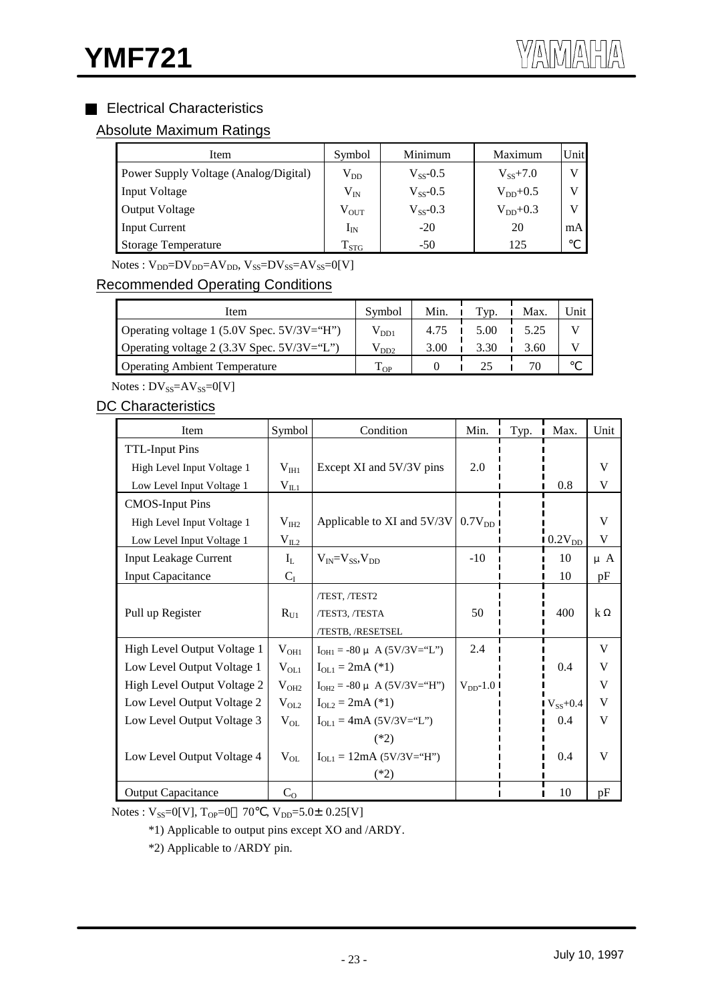## Electrical Characteristics

## Absolute Maximum Ratings

| <b>Item</b>                           | Symbol        | Minimum       | Maximum       | Unit |
|---------------------------------------|---------------|---------------|---------------|------|
| Power Supply Voltage (Analog/Digital) | $\rm V_{DD}$  | $V_{SS}$ -0.5 | $V_{ss}$ +7.0 |      |
| Input Voltage                         | $\rm V_{IN}$  | $V_{ss}$ -0.5 | $V_{DD}+0.5$  |      |
| <b>Output Voltage</b>                 | $V_{OUT}$     | $V_{SS}$ -0.3 | $V_{DD}+0.3$  | V    |
| <b>Input Current</b>                  | $I_{\rm IN}$  | $-20$         | 20            | mA   |
| <b>Storage Temperature</b>            | $T_{\rm STG}$ | $-50$         | 125           |      |

 $Notes: V_{DD} = DV_{DD} = AV_{DD}$ ,  $V_{SS} = DV_{SS} = AV_{SS} = 0[V]$ 

## Recommended Operating Conditions

| Item                                            | Symbol        | Min. | Tvp. | Max. | Unit |
|-------------------------------------------------|---------------|------|------|------|------|
| Operating voltage 1 (5.0V Spec. $5V/3V = H''$ ) | $\rm V_{DD1}$ | 4.75 | 5.00 | 5.25 |      |
| Operating voltage 2 (3.3V Spec. $5V/3V = "L"$ ) | $\rm V_{DD2}$ | 3.00 | 3.30 | 3.60 |      |
| <b>Operating Ambient Temperature</b>            | $T_{OP}$      |      |      |      |      |

 $Notes: DV_{SS}=AV_{SS}=0[V]$ 

## DC Characteristics

| Item                         | Symbol         | Condition                                   | Min.          | Typ. | Max.         | Unit    |
|------------------------------|----------------|---------------------------------------------|---------------|------|--------------|---------|
| <b>TTL-Input Pins</b>        |                |                                             |               |      |              |         |
| High Level Input Voltage 1   | $V_{\rm IHI}$  | Except XI and 5V/3V pins                    | 2.0           |      |              | V       |
| Low Level Input Voltage 1    | $V_{IL1}$      |                                             |               |      | 0.8          | V       |
| <b>CMOS-Input Pins</b>       |                |                                             |               |      |              |         |
| High Level Input Voltage 1   | $V_{I H2}$     | Applicable to XI and $5V/3V$ 0.7 $V_{DD}$ I |               |      |              | V       |
| Low Level Input Voltage 1    | $V_{IL2}$      |                                             |               |      | $0.2V_{DD}$  | V       |
| <b>Input Leakage Current</b> | $I_L$          | $V_{IN} = V_{SS}$ , $V_{DD}$                | $-10$         |      | 10           | $\mu$ A |
| <b>Input Capacitance</b>     | $C_I$          |                                             |               |      | 10           | pF      |
|                              |                | /TEST, /TEST2                               |               |      |              |         |
| Pull up Register             | $R_{U1}$       | /TEST3, /TESTA                              | 50            |      | 400          | k       |
|                              |                | /TESTB, /RESETSEL                           |               |      |              |         |
| High Level Output Voltage 1  | $V_{OH1}$      | $I_{OH1} = -80 \mu A (5V/3V = "L")$         | 2.4           |      |              | V       |
| Low Level Output Voltage 1   | $V_{OL1}$      | $I_{OL1} = 2mA (*)$                         |               |      | 0.4          | V       |
| High Level Output Voltage 2  | $V_{OH2}$      | $I_{OH2}$ = -80 $\mu$ A (5V/3V="H")         | $V_{DD}$ -1.0 |      |              | V       |
| Low Level Output Voltage 2   | $V_{OL2}$      | $I_{OL2} = 2mA (*)$                         |               |      | $V_{SS}+0.4$ | V       |
| Low Level Output Voltage 3   | $V_{OL}$       | $I_{OL1} = 4mA (5V/3V = "L")$               |               |      | 0.4          | V       |
|                              |                | $(*2)$                                      |               |      |              |         |
| Low Level Output Voltage 4   | $V_{OL}$       | $I_{OL1} = 12mA (5V/3V = "H")$              |               |      | 0.4          | V       |
|                              |                | $(*2)$                                      |               |      |              |         |
| <b>Output Capacitance</b>    | C <sub>O</sub> |                                             |               |      | 10           | pF      |

Notes :  $V_{SS}=0[V]$ ,  $T_{OP}=0$  70,  $V_{DD}=5.0\pm0.25[V]$ 

\*1) Applicable to output pins except XO and /ARDY.

\*2) Applicable to /ARDY pin.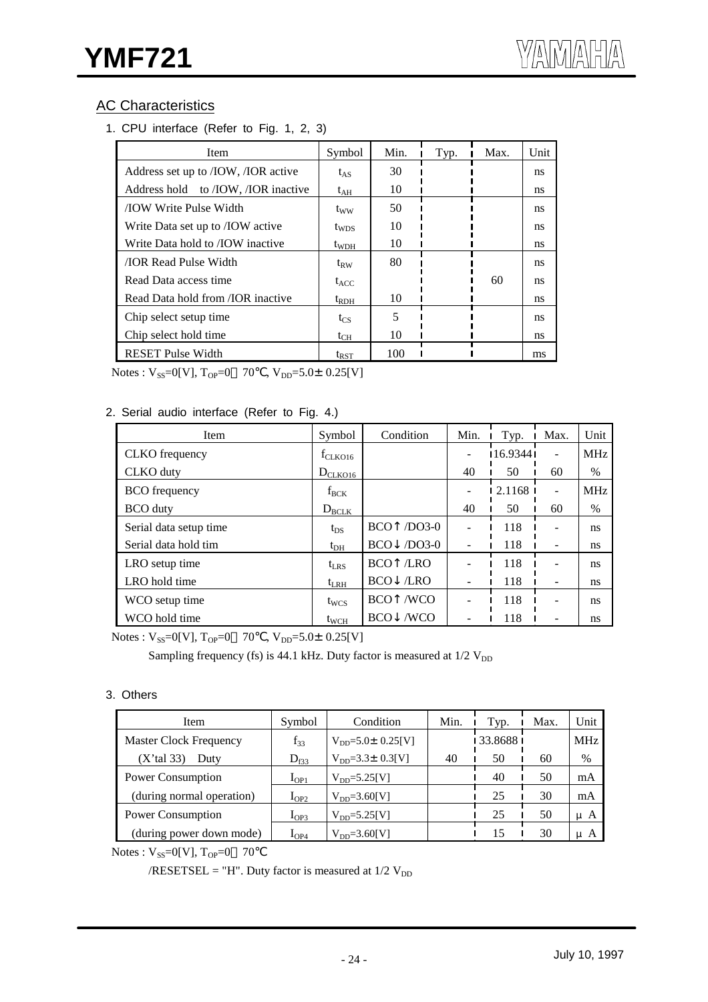## AC Characteristics

1. CPU interface (Refer to Fig. 1, 2, 3)

| <b>Item</b>                                      | Symbol       | Min. | Typ. | Max. | Unit |
|--------------------------------------------------|--------------|------|------|------|------|
| Address set up to /IOW, /IOR active              | $t_{AS}$     | 30   |      |      | ns   |
| Address hold to <i>IOW</i> , <i>IOR</i> inactive | $t_{AH}$     | 10   |      |      | ns   |
| <b>TOW Write Pulse Width</b>                     | $t_{WW}$     | 50   |      |      | ns   |
| Write Data set up to <i>IOW</i> active           | $t_{WDS}$    | 10   |      |      | ns   |
| Write Data hold to <i><b>JOW</b></i> inactive    | $t_{WDH}$    | 10   |      |      | ns   |
| <b><i>IOR Read Pulse Width</i></b>               | $\rm t_{RW}$ | 80   |      |      | ns   |
| Read Data access time                            | $t_{ACC}$    |      |      | 60   | ns   |
| Read Data hold from <i>(IOR inactive</i> )       | $t_{RDH}$    | 10   |      |      | ns   |
| Chip select setup time                           | $t_{CS}$     | 5    |      |      | ns   |
| Chip select hold time                            | $t_{CH}$     | 10   |      |      | ns   |
| <b>RESET Pulse Width</b>                         | $t_{RST}$    | 100  |      |      | ms   |

Notes :  $V_{SS}=0[V]$ ,  $T_{OP}=0$  70,  $V_{DD}=5.0\pm0.25[V]$ 

#### 2. Serial audio interface (Refer to Fig. 4.)

| Item                   | Symbol            | Condition              | Min. | Typ.       | Max. | Unit       |
|------------------------|-------------------|------------------------|------|------------|------|------------|
| CLKO frequency         | $f_{CLKO16}$      |                        |      | 116.93441  | ۰    | <b>MHz</b> |
| CLKO duty              | $D_{CLKO16}$      |                        | 40   | 50         | 60   | $\%$       |
| <b>BCO</b> frequency   | $f_{BCK}$         |                        |      | $2.1168$ I |      | <b>MHz</b> |
| <b>BCO</b> duty        | $D_{\text{BCLK}}$ |                        | 40   | 50         | 60   | $\%$       |
| Serial data setup time | $t_{DS}$          | $/DO3-0$<br><b>BCO</b> |      | 118        |      | ns         |
| Serial data hold tim   | $t_{DH}$          | $/DO3-0$<br><b>BCO</b> |      | 118        |      | ns         |
| LRO setup time         | $t_{LRS}$         | /LRO<br><b>BCO</b>     |      | 118        |      | ns         |
| LRO hold time          | $t_{LRH}$         | /LRO<br><b>BCO</b>     |      | 118        |      | ns         |
| WCO setup time         | $t_{WCS}$         | /WCO<br><b>BCO</b>     |      | 118        |      | ns         |
| WCO hold time          | $t_{WCH}$         | /WCO<br><b>BCO</b>     |      | 118        |      | ns         |

Notes :  $V_{SS}=0[V]$ ,  $T_{OP}=0$  70,  $V_{DD}=5.0\pm0.25[V]$ 

Sampling frequency (fs) is 44.1 kHz. Duty factor is measured at  $1/2$   $V_{DD}$ 

#### 3. Others

| Item                          | Symbol           | Condition                   | Min. | Typ.      | Max. | Unit       |
|-------------------------------|------------------|-----------------------------|------|-----------|------|------------|
| <b>Master Clock Frequency</b> | $f_{33}$         | $V_{DD} = 5.0 \pm 0.25$ [V] |      | 133.86881 |      | <b>MHz</b> |
| $(X'$ tal 33)<br>Duty         | $D_{f33}$        | $V_{DD} = 3.3 \pm 0.3$ [V]  | 40   | 50        | 60   | $\%$       |
| Power Consumption             | $I_{OP1}$        | $V_{DD} = 5.25[V]$          |      | 40        | 50   | mA         |
| (during normal operation)     | $I_{OP2}$        | $V_{DD} = 3.60[V]$          |      | 25        | 30   | mA         |
| <b>Power Consumption</b>      | I <sub>OP3</sub> | $V_{DD} = 5.25[V]$          |      | 25        | 50   | μA         |
| (during power down mode)      | $I_{OP4}$        | $V_{DD} = 3.60[V]$          |      |           | 30   | A<br>u     |

Notes :  $V_{SS}=0[V]$ ,  $T_{OP}=0$  70

/RESETSEL = "H". Duty factor is measured at  $1/2$  V<sub>DD</sub>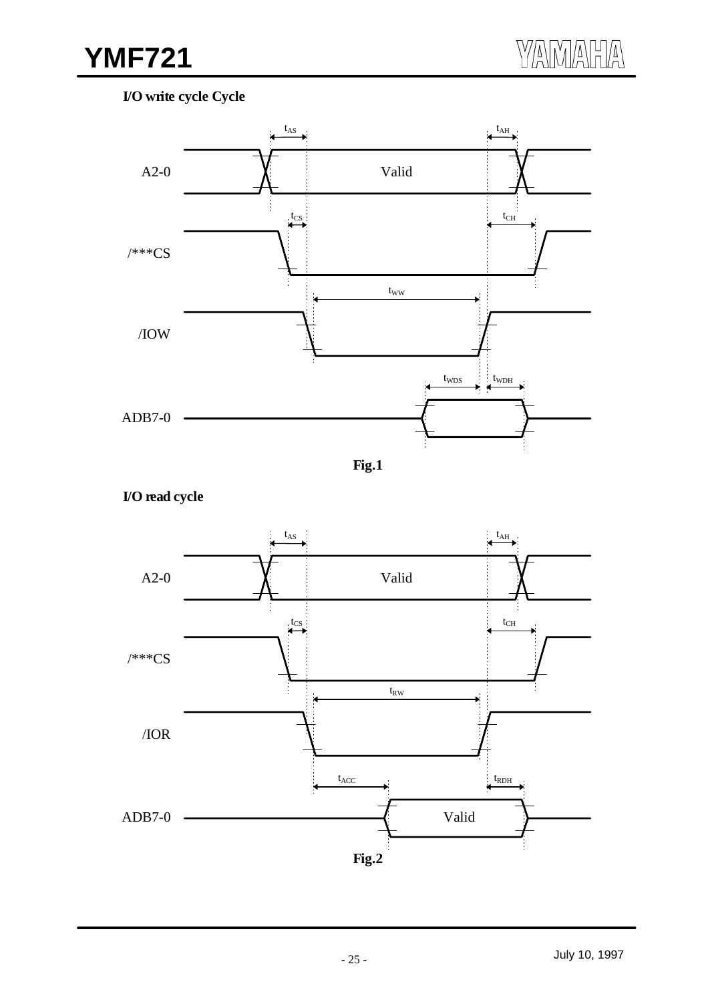## **I/O write cycle Cycle**







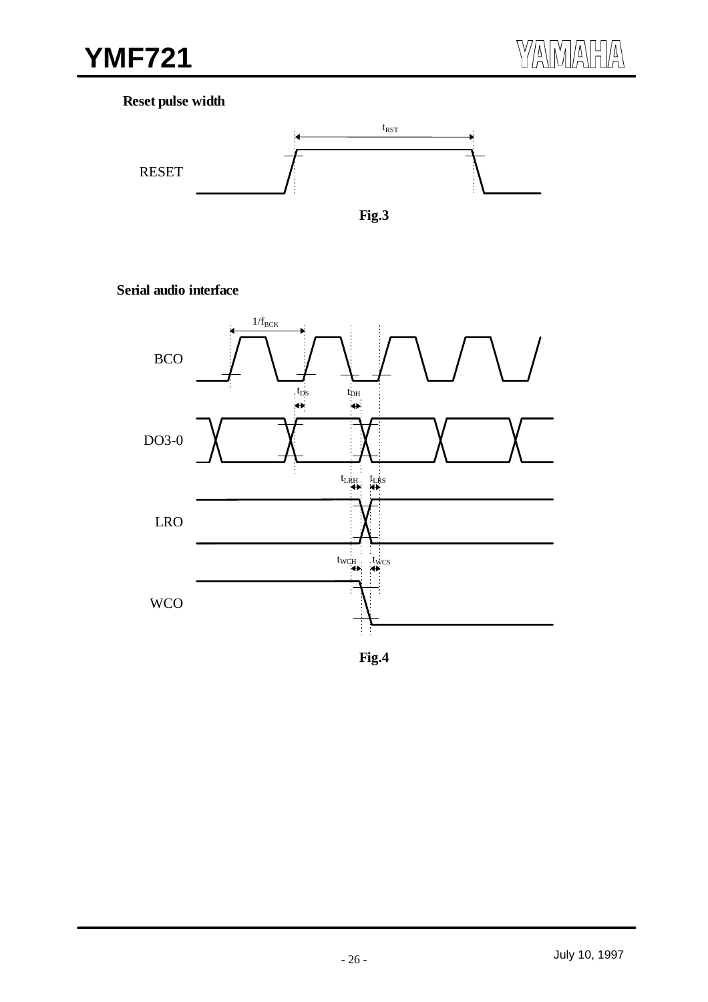## **Reset pulse width**



## **Serial audio interface**

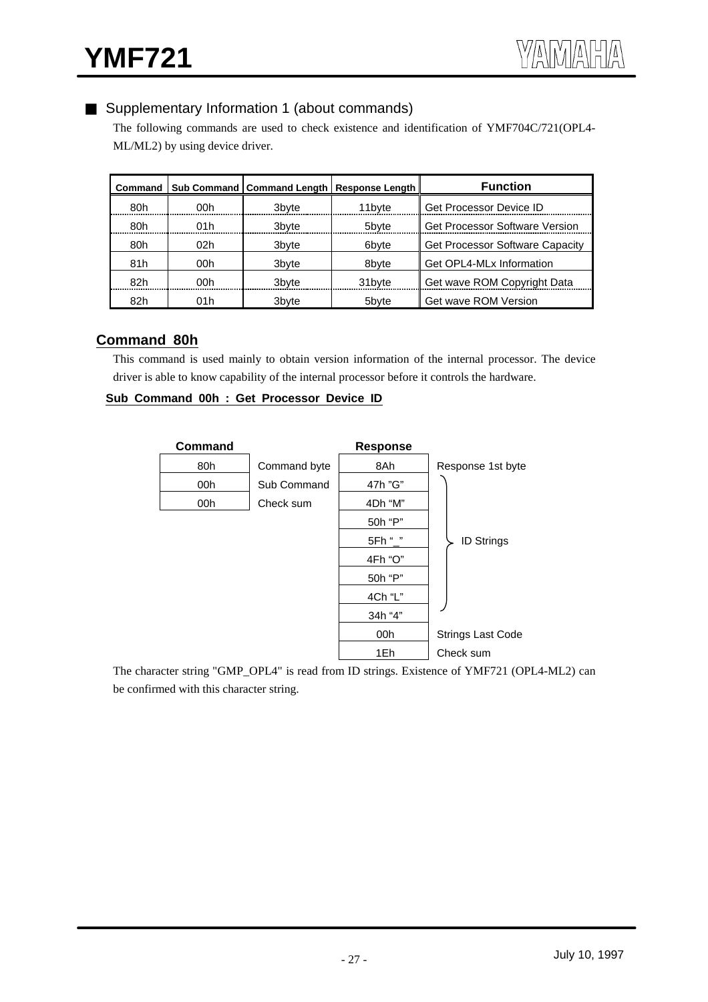## Supplementary Information 1 (about commands)

The following commands are used to check existence and identification of YMF704C/721(OPL4- ML/ML2) by using device driver.

| Command |      | Sub Command   Command Length   Response Length |        | <b>Function</b>                        |
|---------|------|------------------------------------------------|--------|----------------------------------------|
| 80h     | 00h  | 3 <sub>b</sub> vte                             | 11byte | <b>Get Processor Device ID</b>         |
| 80h     | 01h  | 3 <sub>b</sub> vte                             | 5bvte  | <b>Get Processor Software Version</b>  |
| 80h     | 02h  | 3byte                                          | 6bvte  | <b>Get Processor Software Capacity</b> |
| 81h     | 00h  | 3byte                                          | 8byte  | Get OPL4-MLx Information               |
| 82h     | 00h  | 3 <sub>b</sub> vte                             | 31byte | Get wave ROM Copyright Data            |
| 82h     | 01 h | 3byte                                          | 5byte  | Get wave ROM Version                   |

## **Command 80h**

This command is used mainly to obtain version information of the internal processor. The device driver is able to know capability of the internal processor before it controls the hardware.

#### **Sub Command 00h : Get Processor Device ID**



The character string "GMP\_OPL4" is read from ID strings. Existence of YMF721 (OPL4-ML2) can be confirmed with this character string.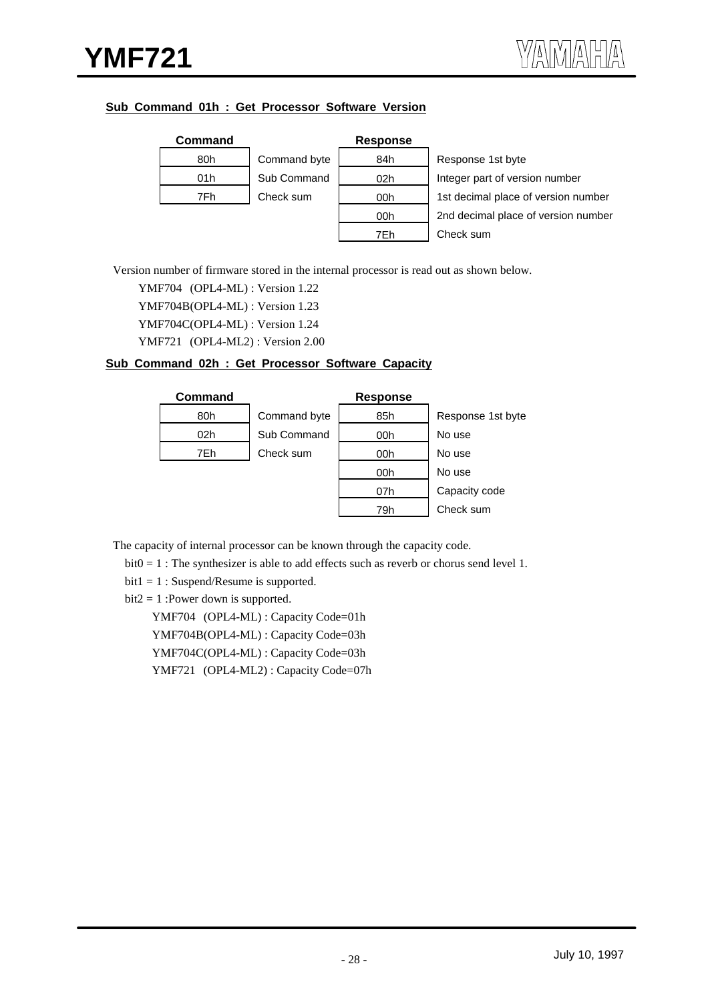#### **Sub Command 01h : Get Processor Software Version**

| Command |              | <b>Response</b> |                                     |
|---------|--------------|-----------------|-------------------------------------|
| 80h     | Command byte | 84h             | Response 1st byte                   |
| 01h     | Sub Command  | 02 <sub>h</sub> | Integer part of version number      |
| 7Fh     | Check sum    | 00h             | 1st decimal place of version number |
|         |              | 00h             | 2nd decimal place of version number |
|         |              | 7Fh.            | Check sum                           |

Version number of firmware stored in the internal processor is read out as shown below.

YMF704 (OPL4-ML) : Version 1.22

YMF704B(OPL4-ML) : Version 1.23

YMF704C(OPL4-ML) : Version 1.24

YMF721 (OPL4-ML2) : Version 2.00

#### **Sub Command 02h : Get Processor Software Capacity**

| <b>Command</b> |              | <b>Response</b> |                   |
|----------------|--------------|-----------------|-------------------|
| 80h            | Command byte | 85h             | Response 1st byte |
| 02h            | Sub Command  | 00h             | No use            |
| 7Eh            | Check sum    | 00h             | No use            |
|                |              | 00h             | No use            |
|                |              | 07h             | Capacity code     |
|                |              | 79h             | Check sum         |

The capacity of internal processor can be known through the capacity code.

bit0 = 1 : The synthesizer is able to add effects such as reverb or chorus send level 1.

bit1 = 1 : Suspend/Resume is supported.

 $bit2 = 1$ : Power down is supported.

YMF704 (OPL4-ML) : Capacity Code=01h YMF704B(OPL4-ML) : Capacity Code=03h YMF704C(OPL4-ML) : Capacity Code=03h YMF721 (OPL4-ML2) : Capacity Code=07h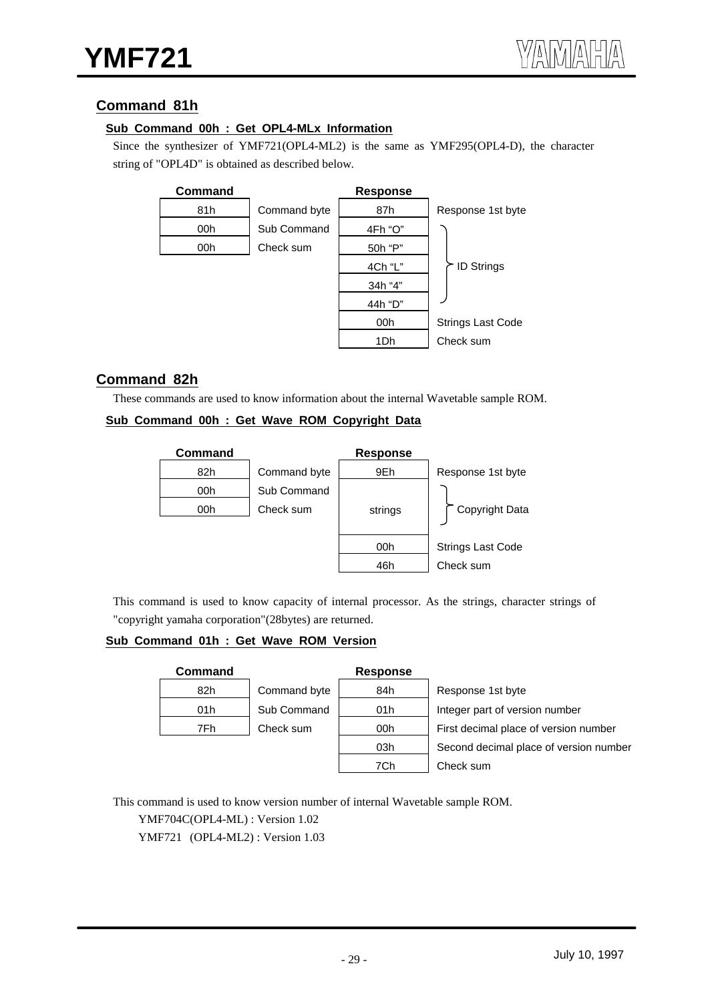## **Command 81h**

#### **Sub Command 00h : Get OPL4-MLx Information**

Since the synthesizer of YMF721(OPL4-ML2) is the same as YMF295(OPL4-D), the character string of "OPL4D" is obtained as described below.



## **Command 82h**

These commands are used to know information about the internal Wavetable sample ROM.

#### **Sub Command 00h : Get Wave ROM Copyright Data**

| Command |              | <b>Response</b> |                          |
|---------|--------------|-----------------|--------------------------|
| 82h     | Command byte | 9Eh             | Response 1st byte        |
| 00h     | Sub Command  |                 |                          |
| 00h     | Check sum    | strings         | Copyright Data           |
|         |              |                 |                          |
|         |              | 00h             | <b>Strings Last Code</b> |
|         |              | 46h             | Check sum                |

This command is used to know capacity of internal processor. As the strings, character strings of "copyright yamaha corporation"(28bytes) are returned.

#### **Sub Command 01h : Get Wave ROM Version**

| Command |           |
|---------|-----------|
| 82h     | Command b |
| 01h     | Sub Comma |
| 7Fh     | Check sum |
|         |           |

#### **Response**

byte 84h Response 1st byte and 01h Integer part of version number 00h First decimal place of version number 03h Second decimal place of version number 7Ch Check sum

This command is used to know version number of internal Wavetable sample ROM.

YMF704C(OPL4-ML) : Version 1.02

YMF721 (OPL4-ML2) : Version 1.03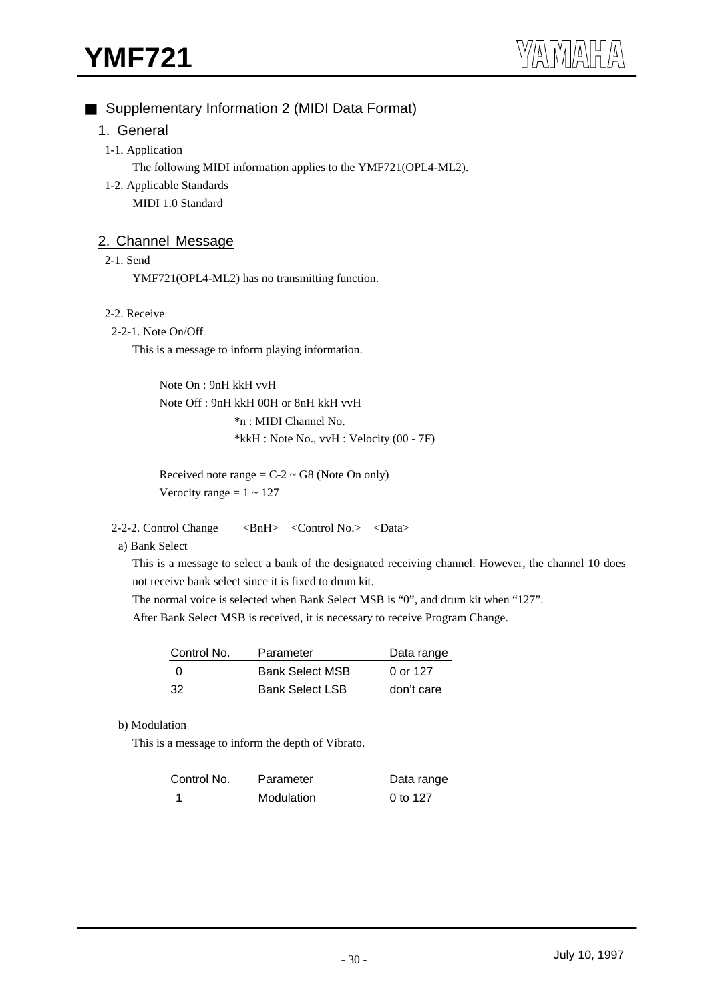## Supplementary Information 2 (MIDI Data Format)

## 1. General

#### 1-1. Application

The following MIDI information applies to the YMF721(OPL4-ML2).

1-2. Applicable Standards MIDI 1.0 Standard

## 2. Channel Message

#### 2-1. Send

YMF721(OPL4-ML2) has no transmitting function.

#### 2-2. Receive

#### 2-2-1. Note On/Off

This is a message to inform playing information.

Note On : 9nH kkH vvH Note Off : 9nH kkH 00H or 8nH kkH vvH \*n : MIDI Channel No. \*kkH : Note No., vvH : Velocity (00 - 7F)

Received note range  $= C - 2 \sim G8$  (Note On only) Verocity range  $= 1 \sim 127$ 

2-2-2. Control Change <BnH> <Control No.> <Data>

a) Bank Select

This is a message to select a bank of the designated receiving channel. However, the channel 10 does not receive bank select since it is fixed to drum kit.

The normal voice is selected when Bank Select MSB is "0", and drum kit when "127".

After Bank Select MSB is received, it is necessary to receive Program Change.

| Control No. | Parameter              | Data range |
|-------------|------------------------|------------|
| - 0         | <b>Bank Select MSB</b> | 0 or 127   |
| 32          | <b>Bank Select LSB</b> | don't care |

#### b) Modulation

This is a message to inform the depth of Vibrato.

| Control No. | Parameter  | Data range |
|-------------|------------|------------|
|             | Modulation | 0 to 127   |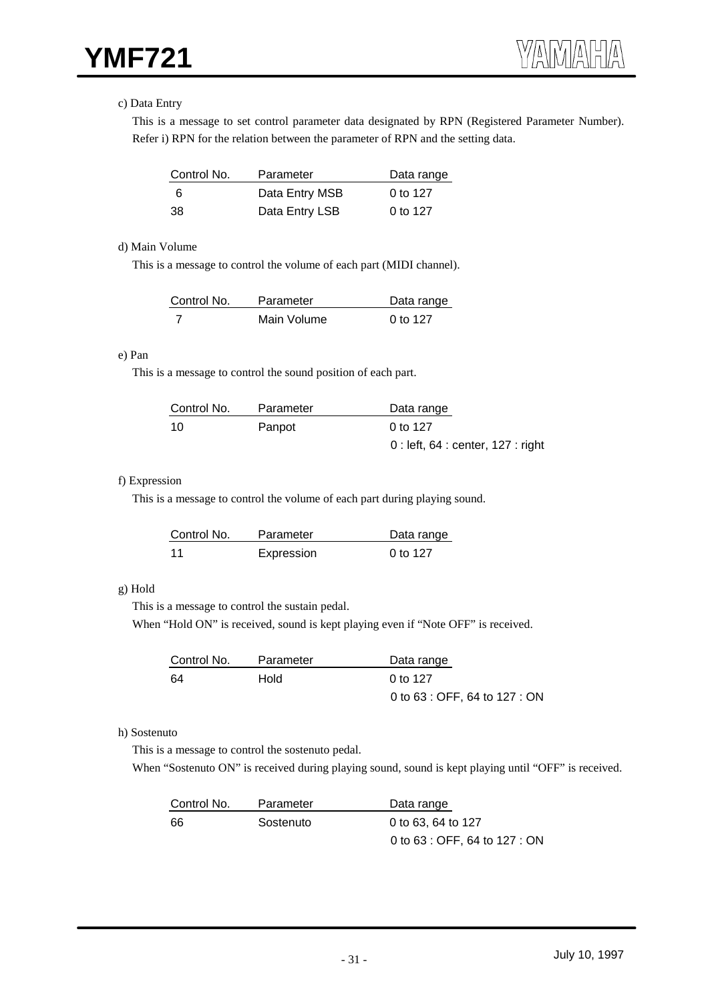#### c) Data Entry

This is a message to set control parameter data designated by RPN (Registered Parameter Number). Refer i) RPN for the relation between the parameter of RPN and the setting data.

| Control No. | Parameter      | Data range |
|-------------|----------------|------------|
| -6          | Data Entry MSB | 0 to 127   |
| 38          | Data Entry LSB | 0 to 127   |

#### d) Main Volume

This is a message to control the volume of each part (MIDI channel).

| Control No. | Parameter   | Data range |
|-------------|-------------|------------|
|             | Main Volume | 0 to 127   |

#### e) Pan

This is a message to control the sound position of each part.

| Control No. | Parameter | Data range                          |
|-------------|-----------|-------------------------------------|
| 10          | Panpot    | 0 to 127                            |
|             |           | $0:$ left, 64 : center, 127 : right |

#### f) Expression

This is a message to control the volume of each part during playing sound.

| Control No. | Parameter  | Data range |
|-------------|------------|------------|
| - 11        | Expression | 0 to 127   |

#### g) Hold

This is a message to control the sustain pedal.

When "Hold ON" is received, sound is kept playing even if "Note OFF" is received.

| Control No. | Parameter | Data range                    |
|-------------|-----------|-------------------------------|
| -64         | Hold      | 0 to 127                      |
|             |           | 0 to 63 : OFF, 64 to 127 : ON |

#### h) Sostenuto

This is a message to control the sostenuto pedal.

When "Sostenuto ON" is received during playing sound, sound is kept playing until "OFF" is received.

| Control No. | Parameter | Data range                    |
|-------------|-----------|-------------------------------|
| 66          | Sostenuto | 0 to 63, 64 to 127            |
|             |           | 0 to 63 : OFF, 64 to 127 : ON |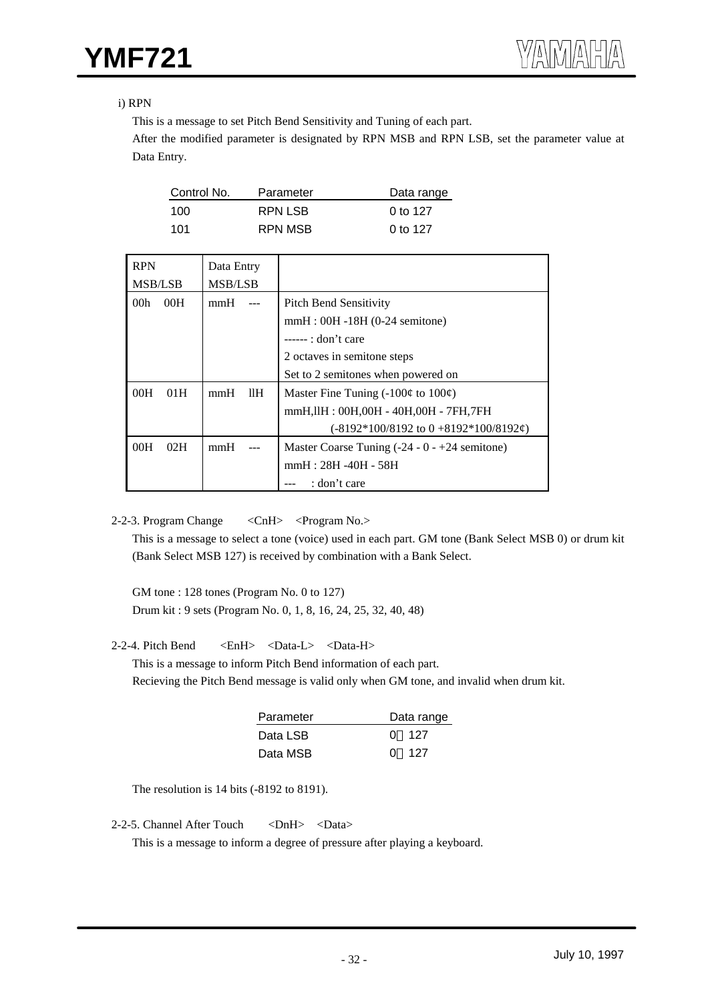#### i) RPN

This is a message to set Pitch Bend Sensitivity and Tuning of each part.

After the modified parameter is designated by RPN MSB and RPN LSB, set the parameter value at Data Entry.

| Control No. | Parameter | Data range |
|-------------|-----------|------------|
| 100         | RPN LSB   | 0 to 127   |
| 101         | RPN MSB   | 0 to 127   |

| <b>RPN</b>      |     | Data Entry     |     |                                                 |
|-----------------|-----|----------------|-----|-------------------------------------------------|
| <b>MSB/LSB</b>  |     | <b>MSB/LSB</b> |     |                                                 |
| 00 <sub>h</sub> | 00H | mmH            |     | <b>Pitch Bend Sensitivity</b>                   |
|                 |     |                |     | $mmH:$ 00H -18H (0-24 semitone)                 |
|                 |     |                |     | $---:$ don't care                               |
|                 |     |                |     | 2 octaves in semitone steps                     |
|                 |     |                |     | Set to 2 semitones when powered on              |
| 00H             | 01H | mmH            | 11H | Master Fine Tuning (-100¢ to $100¢$ )           |
|                 |     |                |     | mmH, IIH: 00H, 00H - 40H, 00H - 7FH, 7FH        |
|                 |     |                |     | $(-8192*100/8192$ to $0+8192*100/8192\epsilon)$ |
| 00H             | 02H | mmH            |     | Master Coarse Tuning $(-24 - 0 - 24$ semitone)  |
|                 |     |                |     | mmH: 28H -40H - 58H                             |
|                 |     |                |     | : don't care                                    |

2-2-3. Program Change <CnH> <Program No.>

This is a message to select a tone (voice) used in each part. GM tone (Bank Select MSB 0) or drum kit (Bank Select MSB 127) is received by combination with a Bank Select.

GM tone : 128 tones (Program No. 0 to 127) Drum kit : 9 sets (Program No. 0, 1, 8, 16, 24, 25, 32, 40, 48)

#### 2-2-4. Pitch Bend <EnH> <Data-L> <Data-H>

This is a message to inform Pitch Bend information of each part. Recieving the Pitch Bend message is valid only when GM tone, and invalid when drum kit.

| Parameter | Data range |
|-----------|------------|
| Data LSB  | ი 127      |
| Data MSB  | -127<br>O. |

The resolution is 14 bits (-8192 to 8191).

2-2-5. Channel After Touch <DnH> <Data>

This is a message to inform a degree of pressure after playing a keyboard.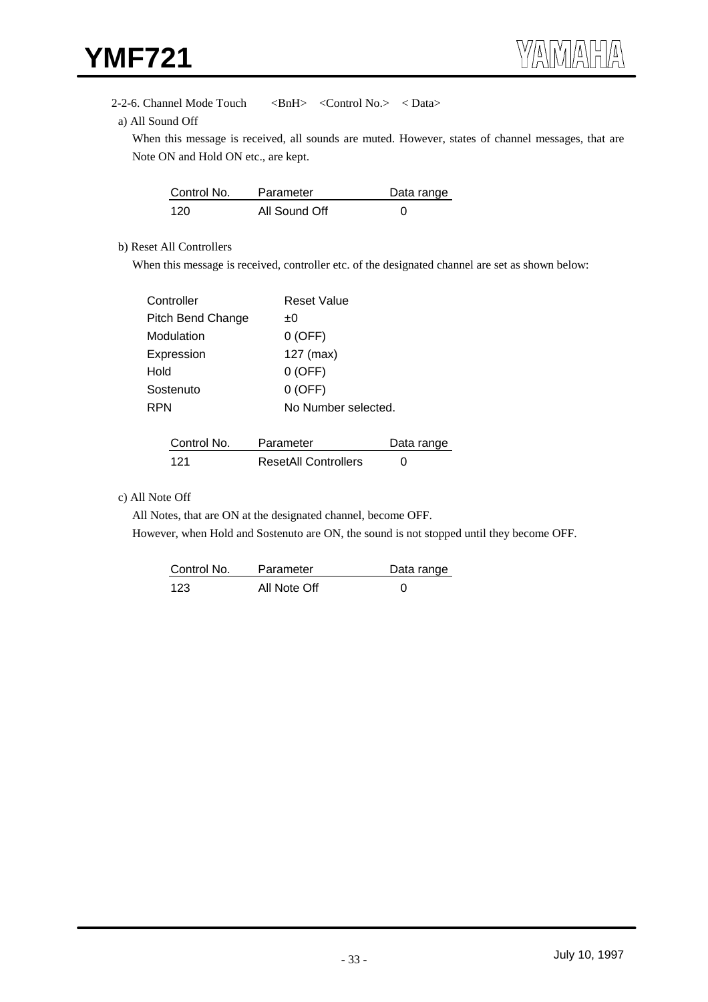#### 2-2-6. Channel Mode Touch <br/> <BnH><Control No.> <br/> <br/> <br/> <br/> <br/> <br/> <br/> <br/> <br/> <br/> <br/> <br/> <br/>
<br/>
<br/>
<br/>
<br/>
<br/>
<br/>
<br/>
<br/>
<br/>
<br/>
<br/>
<br/>
<br/>
<br/>
<br/>
<br

a) All Sound Off

When this message is received, all sounds are muted. However, states of channel messages, that are Note ON and Hold ON etc., are kept.

| Control No. | Parameter     | Data range |
|-------------|---------------|------------|
| 120         | All Sound Off |            |

#### b) Reset All Controllers

When this message is received, controller etc. of the designated channel are set as shown below:

| Controller        | <b>Reset Value</b>  |
|-------------------|---------------------|
| Pitch Bend Change | ±0                  |
| Modulation        | $0$ (OFF)           |
| Expression        | $127$ (max)         |
| Hold              | $0$ (OFF)           |
| Sostenuto         | $0$ (OFF)           |
| RPN               | No Number selected. |

| Control No. | Parameter                   | Data range |
|-------------|-----------------------------|------------|
| 121         | <b>ResetAll Controllers</b> |            |

#### c) All Note Off

All Notes, that are ON at the designated channel, become OFF.

However, when Hold and Sostenuto are ON, the sound is not stopped until they become OFF.

| Control No. | Parameter    | Data range |
|-------------|--------------|------------|
| 123         | All Note Off |            |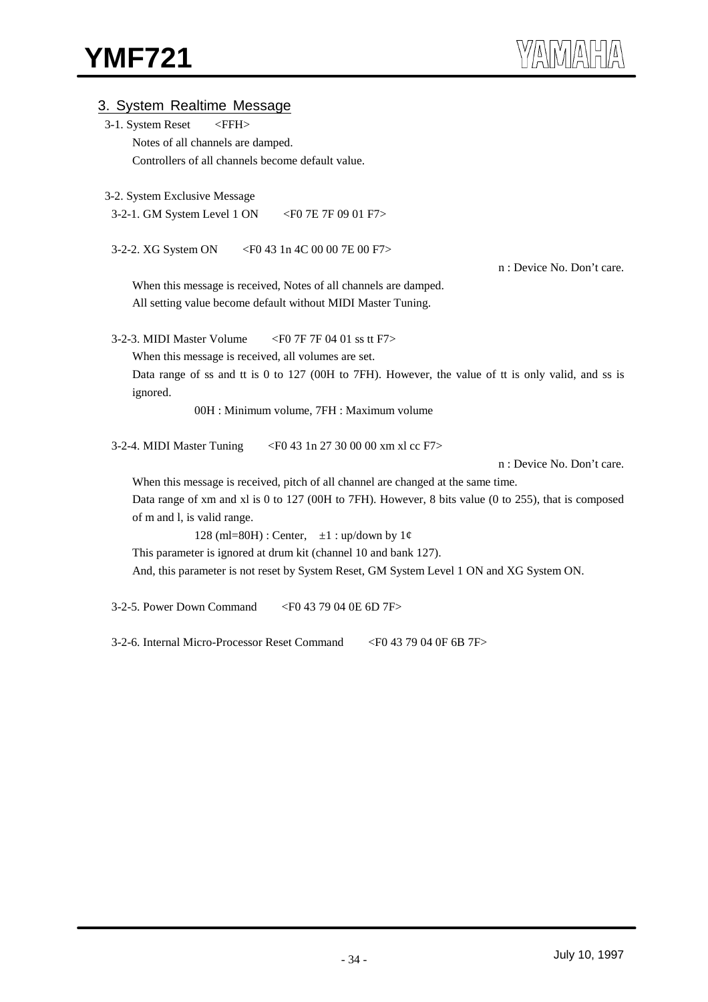| 3. System Realtime Message                                                                                      |
|-----------------------------------------------------------------------------------------------------------------|
| 3-1. System Reset<br>$<$ FFH $>$                                                                                |
| Notes of all channels are damped.                                                                               |
| Controllers of all channels become default value.                                                               |
|                                                                                                                 |
| 3-2. System Exclusive Message                                                                                   |
| 3-2-1. GM System Level 1 ON<br>$\epsilon$ FO 7E 7F 09 01 F7 $>$                                                 |
| 3-2-2. XG System ON<br><f0 00="" 1n="" 43="" 4c="" 7e="" f7=""></f0>                                            |
| n : Device No. Don't care.                                                                                      |
| When this message is received, Notes of all channels are damped.                                                |
| All setting value become default without MIDI Master Tuning.                                                    |
|                                                                                                                 |
| 3-2-3. MIDI Master Volume<br><f0 01="" 04="" 7f="" f7="" ss="" tt=""></f0>                                      |
| When this message is received, all volumes are set.                                                             |
| Data range of ss and tt is 0 to 127 (00H to 7FH). However, the value of tt is only valid, and ss is<br>ignored. |
| 00H : Minimum volume, 7FH : Maximum volume                                                                      |
| 3-2-4. MIDI Master Tuning<br><f0 00="" 1n="" 27="" 30="" 43="" cc="" f7="" xl="" xm=""></f0>                    |
| n : Device No. Don't care.                                                                                      |
| When this message is received, pitch of all channel are changed at the same time.                               |
| Data range of xm and xl is 0 to 127 (00H to 7FH). However, 8 bits value (0 to 255), that is composed            |
| of m and l, is valid range.                                                                                     |
| 128 (ml=80H) : Center, $\pm 1$ : up/down by $1\phi$                                                             |
| This parameter is ignored at drum kit (channel 10 and bank 127).                                                |
| And, this parameter is not reset by System Reset, GM System Level 1 ON and XG System ON.                        |
| 3-2-5. Power Down Command<br><f0 04="" 0e="" 43="" 6d="" 79="" 7f=""></f0>                                      |
| 3-2-6. Internal Micro-Processor Reset Command<br><f0 04="" 0f="" 43="" 6b="" 79="" 7f=""></f0>                  |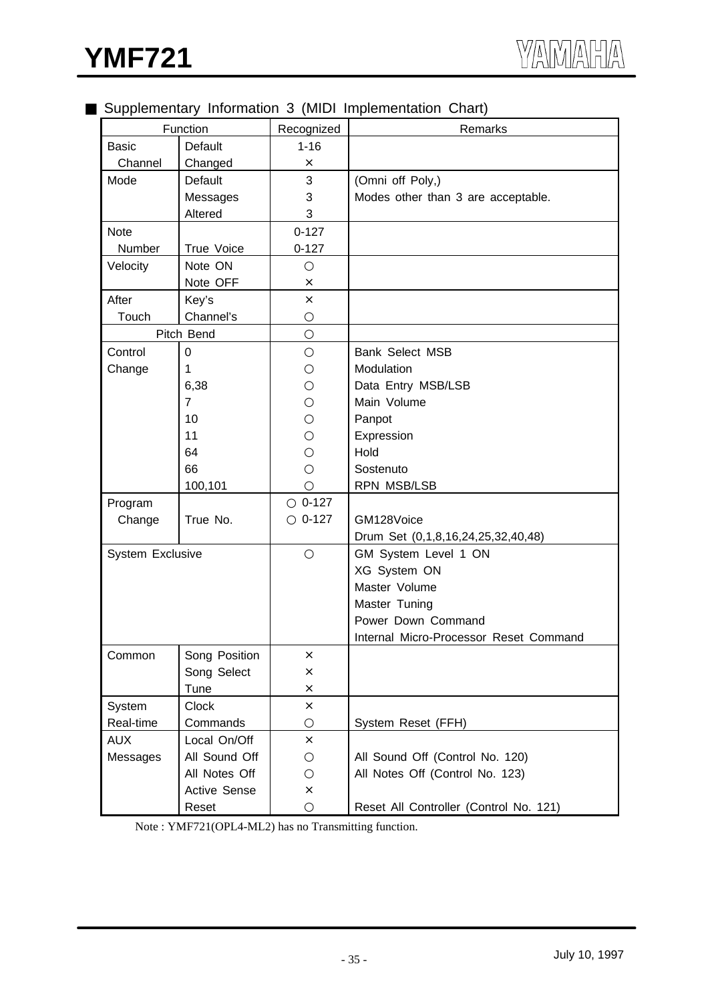## Supplementary Information 3 (MIDI Implementation Chart)

| . .<br>Function  |                |                        | Remarks                                |
|------------------|----------------|------------------------|----------------------------------------|
|                  | Default        | Recognized<br>$1 - 16$ |                                        |
| <b>Basic</b>     |                |                        |                                        |
| Channel          | Changed        | ×                      |                                        |
| Mode             | Default        | 3                      | (Omni off Poly,)                       |
|                  | Messages       | 3                      | Modes other than 3 are acceptable.     |
|                  | Altered        | 3                      |                                        |
| <b>Note</b>      |                | $0 - 127$              |                                        |
| Number           | True Voice     | $0 - 127$              |                                        |
| Velocity         | Note ON        |                        |                                        |
|                  | Note OFF       | ×                      |                                        |
| After            | Key's          | ×                      |                                        |
| Touch            | Channel's      |                        |                                        |
|                  | Pitch Bend     |                        |                                        |
| Control          | 0              |                        | Bank Select MSB                        |
| Change           | 1              |                        | Modulation                             |
|                  | 6,38           |                        | Data Entry MSB/LSB                     |
|                  | $\overline{7}$ |                        | Main Volume                            |
|                  | 10             |                        | Panpot                                 |
|                  | 11             |                        | Expression                             |
|                  | 64             |                        | Hold                                   |
|                  | 66             |                        | Sostenuto                              |
|                  | 100,101        |                        | RPN MSB/LSB                            |
| Program          |                | $0 - 127$              |                                        |
| Change           | True No.       | $0 - 127$              | GM128Voice                             |
|                  |                |                        | Drum Set (0,1,8,16,24,25,32,40,48)     |
| System Exclusive |                |                        | GM System Level 1 ON                   |
|                  |                |                        | XG System ON                           |
|                  |                |                        | Master Volume                          |
|                  |                |                        | Master Tuning                          |
|                  |                |                        | Power Down Command                     |
|                  |                |                        | Internal Micro-Processor Reset Command |
| Common           | Song Position  | ×                      |                                        |
|                  | Song Select    | ×                      |                                        |
|                  | Tune           | ×                      |                                        |
| System           | <b>Clock</b>   | ×                      |                                        |
| Real-time        | Commands       |                        | System Reset (FFH)                     |
| <b>AUX</b>       | Local On/Off   | $\times$               |                                        |
| Messages         | All Sound Off  |                        | All Sound Off (Control No. 120)        |
|                  | All Notes Off  |                        | All Notes Off (Control No. 123)        |
|                  | Active Sense   | ×                      |                                        |
|                  |                |                        |                                        |
|                  | Reset          |                        | Reset All Controller (Control No. 121) |

Note : YMF721(OPL4-ML2) has no Transmitting function.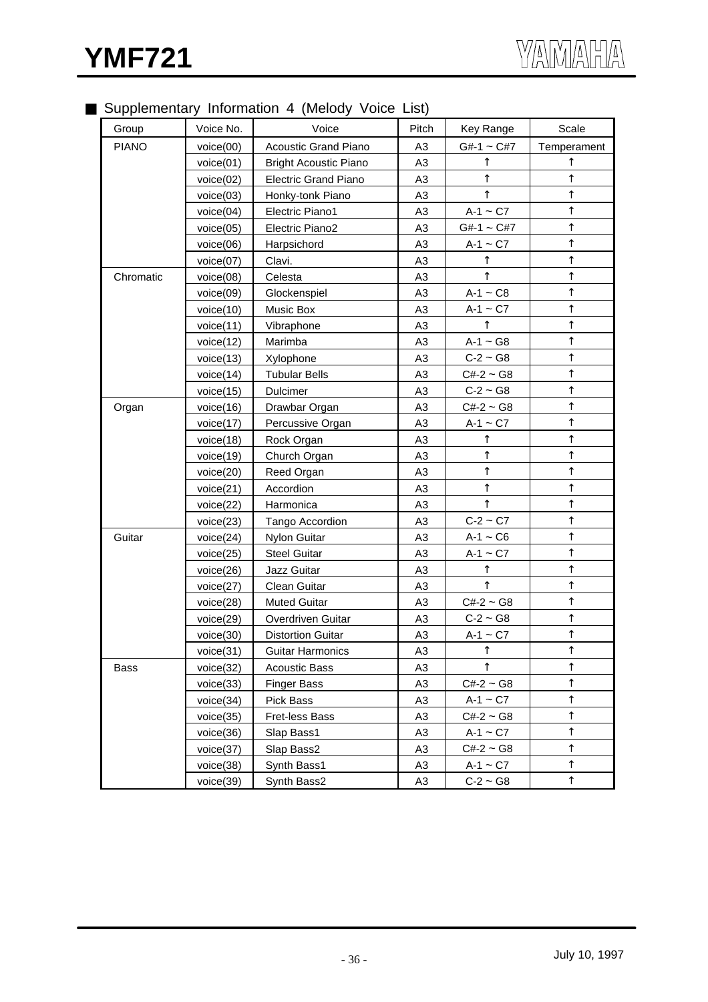## Supplementary Information 4 (Melody Voice List)

| Group        | Voice No. | Voice                        | Pitch          | Key Range       | Scale       |
|--------------|-----------|------------------------------|----------------|-----------------|-------------|
| <b>PIANO</b> | voice(00) | <b>Acoustic Grand Piano</b>  | A3             | $G#-1 \sim C#7$ | Temperament |
|              | voice(01) | <b>Bright Acoustic Piano</b> | A3             |                 |             |
|              | voice(02) | <b>Electric Grand Piano</b>  | A <sub>3</sub> |                 |             |
|              | voice(03) | Honky-tonk Piano             | A3             |                 |             |
|              | voice(04) | Electric Piano1              | A <sub>3</sub> | $A-1 - C7$      |             |
|              | voice(05) | Electric Piano2              | A <sub>3</sub> | $G#-1 \sim C#7$ |             |
|              | voice(06) | Harpsichord                  | A3             | $A-1 - C7$      |             |
|              | voice(07) | Clavi.                       | A <sub>3</sub> |                 |             |
| Chromatic    | voice(08) | Celesta                      | A3             |                 |             |
|              | voice(09) | Glockenspiel                 | A3             | $A-1 - C8$      |             |
|              | voice(10) | Music Box                    | A3             | $A-1 - C7$      |             |
|              | voice(11) | Vibraphone                   | A <sub>3</sub> |                 |             |
|              | voice(12) | Marimba                      | A <sub>3</sub> | $A-1 - G8$      |             |
|              | voice(13) | Xylophone                    | A <sub>3</sub> | $C-2 \sim G8$   |             |
|              | voice(14) | <b>Tubular Bells</b>         | A3             | $C#-2 \sim G8$  |             |
|              | voice(15) | Dulcimer                     | A <sub>3</sub> | $C-2 \sim G8$   |             |
| Organ        | voice(16) | Drawbar Organ                | A <sub>3</sub> | $C#-2 \sim G8$  |             |
|              | voice(17) | Percussive Organ             | A3             | $A-1 - C7$      |             |
|              | voice(18) | Rock Organ                   | A3             |                 |             |
|              | voice(19) | Church Organ                 | A3             |                 |             |
|              | voice(20) | Reed Organ                   | A <sub>3</sub> |                 |             |
|              | voice(21) | Accordion                    | A <sub>3</sub> |                 |             |
|              | voice(22) | Harmonica                    | A <sub>3</sub> |                 |             |
|              | voice(23) | Tango Accordion              | A <sub>3</sub> | $C-2 \sim C7$   |             |
| Guitar       | voice(24) | <b>Nylon Guitar</b>          | A <sub>3</sub> | $A-1 - C6$      |             |
|              | voice(25) | <b>Steel Guitar</b>          | A3             | $A-1 - C7$      |             |
|              | voice(26) | Jazz Guitar                  | A3             |                 |             |
|              | voice(27) | Clean Guitar                 | A <sub>3</sub> |                 |             |
|              | voice(28) | <b>Muted Guitar</b>          | A3             | $C#-2 \sim G8$  |             |
|              | voice(29) | Overdriven Guitar            | A <sub>3</sub> | $C-2 \sim G8$   |             |
|              | voice(30) | <b>Distortion Guitar</b>     | A3             | $A-1 - C7$      |             |
|              | voice(31) | <b>Guitar Harmonics</b>      | A3             |                 |             |
| Bass         | voice(32) | <b>Acoustic Bass</b>         | A3             |                 |             |
|              | voice(33) | <b>Finger Bass</b>           | A3             | $C#-2 \sim G8$  |             |
|              | voice(34) | Pick Bass                    | A3             | $A-1 - C7$      |             |
|              | voice(35) | Fret-less Bass               | A3             | $C#-2 \sim G8$  |             |
|              | voice(36) | Slap Bass1                   | A3             | $A-1 \sim C7$   |             |
|              | voice(37) | Slap Bass2                   | A3             | $C#-2 \sim G8$  |             |
|              | voice(38) | Synth Bass1                  | A3             | $A-1 - C7$      |             |
|              | voice(39) | Synth Bass2                  | A3             | $C-2 \sim G8$   |             |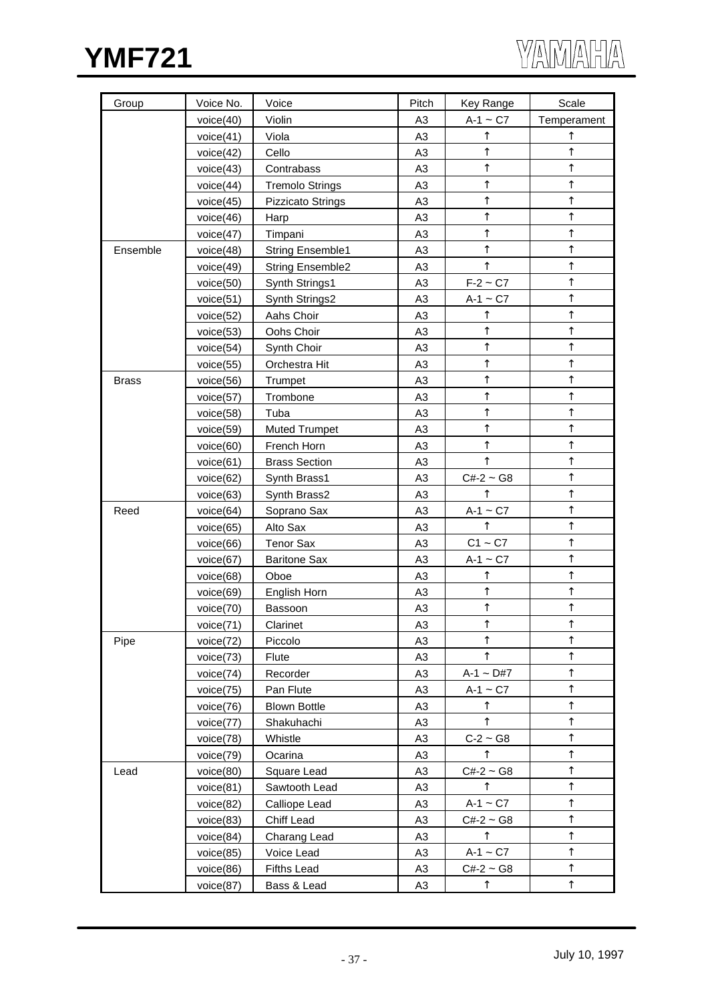



| Group        | Voice No. | Voice                    | Pitch          | Key Range      | Scale       |
|--------------|-----------|--------------------------|----------------|----------------|-------------|
|              | voice(40) | Violin                   | A <sub>3</sub> | $A-1 \sim C7$  | Temperament |
|              | voice(41) | Viola                    | A <sub>3</sub> |                |             |
|              | voice(42) | Cello                    | A <sub>3</sub> |                |             |
|              | voice(43) | Contrabass               | A <sub>3</sub> |                |             |
|              | voice(44) | <b>Tremolo Strings</b>   | A <sub>3</sub> |                |             |
|              | voice(45) | <b>Pizzicato Strings</b> | A <sub>3</sub> |                |             |
|              | voice(46) | Harp                     | A <sub>3</sub> |                |             |
|              | voice(47) | Timpani                  | A <sub>3</sub> |                |             |
| Ensemble     | voice(48) | <b>String Ensemble1</b>  | A <sub>3</sub> |                |             |
|              | voice(49) | <b>String Ensemble2</b>  | A <sub>3</sub> |                |             |
|              | voice(50) | Synth Strings1           | A <sub>3</sub> | $F-2 \sim C7$  |             |
|              | voice(51) | Synth Strings2           | A <sub>3</sub> | $A-1 - C7$     |             |
|              | voice(52) | Aahs Choir               | A <sub>3</sub> |                |             |
|              | voice(53) | Oohs Choir               | A <sub>3</sub> |                |             |
|              | voice(54) | Synth Choir              | A <sub>3</sub> |                |             |
|              | voice(55) | Orchestra Hit            | A <sub>3</sub> |                |             |
| <b>Brass</b> | voice(56) | Trumpet                  | A <sub>3</sub> |                |             |
|              | voice(57) | Trombone                 | A <sub>3</sub> |                |             |
|              | voice(58) | Tuba                     | A <sub>3</sub> |                |             |
|              | voice(59) | <b>Muted Trumpet</b>     | A <sub>3</sub> |                |             |
|              | voice(60) | French Horn              | A <sub>3</sub> |                |             |
|              | voice(61) | <b>Brass Section</b>     | A <sub>3</sub> |                |             |
|              | voice(62) | Synth Brass1             | A <sub>3</sub> | $C#-2 \sim G8$ |             |
|              | voice(63) | Synth Brass2             | A <sub>3</sub> |                |             |
| Reed         | voice(64) | Soprano Sax              | A <sub>3</sub> | $A-1 - C7$     |             |
|              | voice(65) | Alto Sax                 | A <sub>3</sub> |                |             |
|              | voice(66) | <b>Tenor Sax</b>         | A <sub>3</sub> | $C1 - C7$      |             |
|              | voice(67) | <b>Baritone Sax</b>      | A <sub>3</sub> | $A-1 - C7$     |             |
|              | voice(68) | Oboe                     | A <sub>3</sub> |                |             |
|              | voice(69) | English Horn             | A <sub>3</sub> |                |             |
|              | voice(70) | Bassoon                  | A <sub>3</sub> |                |             |
|              | voice(71) | Clarinet                 | A <sub>3</sub> |                |             |
| Pipe         | voice(72) | Piccolo                  | A3             |                |             |
|              | voice(73) | Flute                    | A <sub>3</sub> |                |             |
|              | voice(74) | Recorder                 | A <sub>3</sub> | $A-1 \sim D#7$ |             |
|              | voice(75) | Pan Flute                | A <sub>3</sub> | $A-1 - C7$     |             |
|              | voice(76) | <b>Blown Bottle</b>      | A3             |                |             |
|              | voice(77) | Shakuhachi               | A <sub>3</sub> |                |             |
|              | voice(78) | Whistle                  | A <sub>3</sub> | $C-2 \sim G8$  |             |
|              | voice(79) | Ocarina                  | A3             |                |             |
| Lead         | voice(80) | Square Lead              | A <sub>3</sub> | $C#-2 \sim G8$ |             |
|              | voice(81) | Sawtooth Lead            | A <sub>3</sub> |                |             |
|              | voice(82) | <b>Calliope Lead</b>     | A <sub>3</sub> | $A-1 - C7$     |             |
|              | voice(83) | Chiff Lead               | A3             | $C#-2 \sim G8$ |             |
|              | voice(84) | Charang Lead             | A3             |                |             |
|              | voice(85) | Voice Lead               | A3             | $A-1 - C7$     |             |
|              | voice(86) | <b>Fifths Lead</b>       | A3             | $C#-2 \sim G8$ |             |
|              | voice(87) | Bass & Lead              | A <sub>3</sub> |                |             |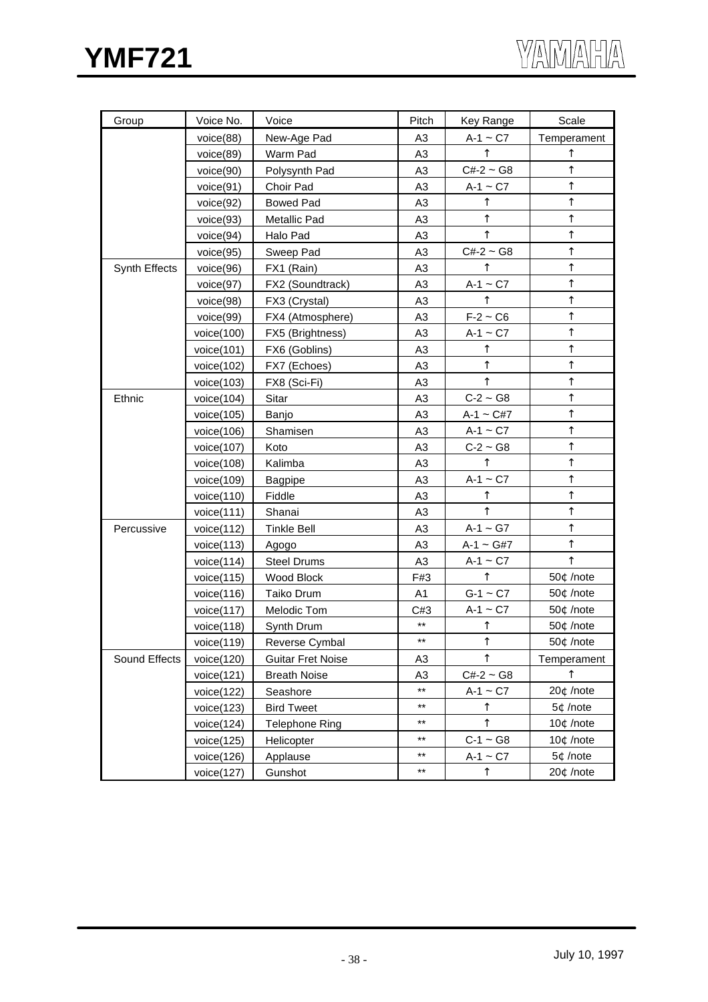| Group         | Voice No.     | Voice                    | Pitch           | Key Range      | Scale       |
|---------------|---------------|--------------------------|-----------------|----------------|-------------|
|               | voice(88)     | New-Age Pad              | A3              | $A-1 \sim C7$  | Temperament |
|               | voice(89)     | Warm Pad                 | A <sub>3</sub>  |                |             |
|               | voice(90)     | Polysynth Pad            | A <sub>3</sub>  | $C#-2 \sim G8$ |             |
|               | voice(91)     | Choir Pad                | A <sub>3</sub>  | $A-1 - C7$     |             |
|               | voice(92)     | <b>Bowed Pad</b>         | A <sub>3</sub>  |                |             |
|               | voice(93)     | Metallic Pad             | A <sub>3</sub>  |                |             |
|               | voice(94)     | Halo Pad                 | A <sub>3</sub>  |                |             |
|               | voice(95)     | Sweep Pad                | A <sub>3</sub>  | $C#-2 \sim G8$ |             |
| Synth Effects | voice(96)     | FX1 (Rain)               | A3              |                |             |
|               | voice(97)     | FX2 (Soundtrack)         | A <sub>3</sub>  | $A-1 - C7$     |             |
|               | voice(98)     | FX3 (Crystal)            | A <sub>3</sub>  |                |             |
|               | voice(99)     | FX4 (Atmosphere)         | A <sub>3</sub>  | $F-2 \sim C6$  |             |
|               | voice $(100)$ | FX5 (Brightness)         | A <sub>3</sub>  | $A-1 - C7$     |             |
|               | voice $(101)$ | FX6 (Goblins)            | A <sub>3</sub>  |                |             |
|               | voice(102)    | FX7 (Echoes)             | A <sub>3</sub>  |                |             |
|               | voice(103)    | FX8 (Sci-Fi)             | A3              |                |             |
| Ethnic        | voice $(104)$ | Sitar                    | A <sub>3</sub>  | $C-2 \sim G8$  |             |
|               | voice $(105)$ | Banjo                    | A3              | $A-1 \sim C#7$ |             |
|               | voice $(106)$ | Shamisen                 | A <sub>3</sub>  | $A-1 - C7$     |             |
|               | voice $(107)$ | Koto                     | A <sub>3</sub>  | $C-2 \sim G8$  |             |
|               | voice $(108)$ | Kalimba                  | A <sub>3</sub>  |                |             |
|               | voice(109)    | <b>Bagpipe</b>           | A <sub>3</sub>  | $A-1 - C7$     |             |
|               | voice(110)    | Fiddle                   | A <sub>3</sub>  |                |             |
|               | voice(111)    | Shanai                   | A <sub>3</sub>  |                |             |
| Percussive    | voice $(112)$ | <b>Tinkle Bell</b>       | A3              | $A-1 \sim G7$  |             |
|               | voice(113)    | Agogo                    | A <sub>3</sub>  | $A-1 - G#7$    |             |
|               | voice(114)    | <b>Steel Drums</b>       | A <sub>3</sub>  | $A-1 - C7$     |             |
|               | voice $(115)$ | Wood Block               | F#3             |                | 50¢ /note   |
|               | voice(116)    | Taiko Drum               | A <sub>1</sub>  | $G-1 \sim C7$  | 50¢ /note   |
|               | voice(117)    | Melodic Tom              | C#3             | $A-1 - C7$     | 50¢ /note   |
|               | voice(118)    | Synth Drum               | $^{\star\star}$ |                | 50¢ /note   |
|               | voice(119)    | Reverse Cymbal           | $***$           |                | 50¢ /note   |
| Sound Effects | voice $(120)$ | <b>Guitar Fret Noise</b> | A <sub>3</sub>  |                | Temperament |
|               | voice(121)    | <b>Breath Noise</b>      | A3              | $C#-2 \sim G8$ |             |
|               | voice $(122)$ | Seashore                 | $***$           | $A-1 - C7$     | 20¢ /note   |
|               | voice(123)    | <b>Bird Tweet</b>        | $***$           |                | 5¢ /note    |
|               | voice(124)    | <b>Telephone Ring</b>    | $***$           |                | 10¢ /note   |
|               | voice(125)    | Helicopter               | $***$           | $C-1 \sim G8$  | 10¢ /note   |
|               | voice $(126)$ | Applause                 | $***$           | $A-1 \sim C7$  | 5¢ /note    |
|               | voice(127)    | Gunshot                  | $***$           |                | 20¢ /note   |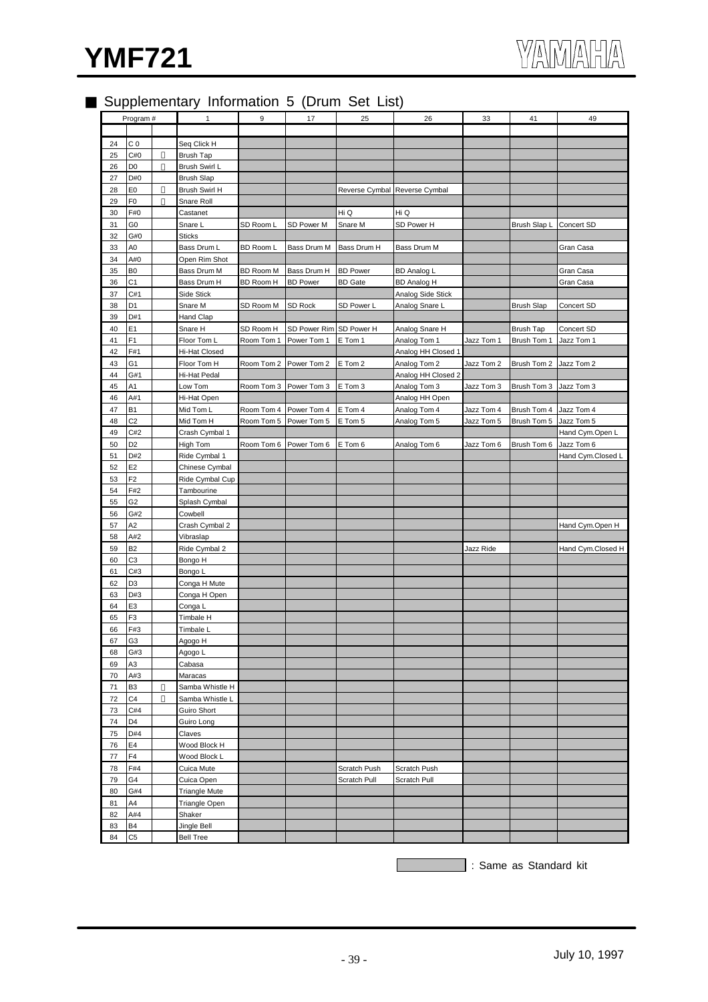

## Supplementary Information 5 (Drum Set List)

|    | Program#       | $\mathbf{1}$         | $\boldsymbol{9}$ | 17                      | 25              | 26                            | 33         | 41                | 49                |
|----|----------------|----------------------|------------------|-------------------------|-----------------|-------------------------------|------------|-------------------|-------------------|
|    |                |                      |                  |                         |                 |                               |            |                   |                   |
| 24 | C <sub>0</sub> | Seq Click H          |                  |                         |                 |                               |            |                   |                   |
| 25 | C#0            | <b>Brush Tap</b>     |                  |                         |                 |                               |            |                   |                   |
| 26 | D <sub>0</sub> | Brush Swirl L        |                  |                         |                 |                               |            |                   |                   |
| 27 | D#0            | <b>Brush Slap</b>    |                  |                         |                 |                               |            |                   |                   |
| 28 | E <sub>0</sub> |                      |                  |                         |                 |                               |            |                   |                   |
|    |                | Brush Swirl H        |                  |                         |                 | Reverse Cymbal Reverse Cymbal |            |                   |                   |
| 29 | F <sub>0</sub> | Snare Roll           |                  |                         |                 |                               |            |                   |                   |
| 30 | F#0            | Castanet             |                  |                         | Hi Q            | Hi Q                          |            |                   |                   |
| 31 | G0             | Snare L              | SD Room L        | SD Power M              | Snare M         | SD Power H                    |            | Brush Slap L      | Concert SD        |
| 32 | G#0            | Sticks               |                  |                         |                 |                               |            |                   |                   |
| 33 | A0             | Bass Drum L          | BD Room L        | Bass Drum M             | Bass Drum H     | Bass Drum M                   |            |                   | Gran Casa         |
| 34 | A#0            | Open Rim Shot        |                  |                         |                 |                               |            |                   |                   |
| 35 | B <sub>0</sub> | Bass Drum M          | <b>BD Room M</b> | Bass Drum H             | <b>BD Power</b> | <b>BD Analog L</b>            |            |                   | Gran Casa         |
| 36 | C <sub>1</sub> | Bass Drum H          | BD Room H        | <b>BD Power</b>         | <b>BD</b> Gate  | <b>BD Analog H</b>            |            |                   | Gran Casa         |
| 37 | C#1            | Side Stick           |                  |                         |                 | Analog Side Stick             |            |                   |                   |
|    | D <sub>1</sub> |                      |                  |                         |                 |                               |            |                   |                   |
| 38 |                | Snare M              | SD Room M        | SD Rock                 | SD Power L      | Analog Snare L                |            | <b>Brush Slap</b> | Concert SD        |
| 39 | D#1            | Hand Clap            |                  |                         |                 |                               |            |                   |                   |
| 40 | E <sub>1</sub> | Snare H              | SD Room H        | SD Power Rim SD Power H |                 | Analog Snare H                |            | <b>Brush Tap</b>  | Concert SD        |
| 41 | F <sub>1</sub> | Floor Tom L          | Room Tom 1       | Power Tom 1             | E Tom 1         | Analog Tom 1                  | Jazz Tom 1 | Brush Tom 1       | Jazz Tom 1        |
| 42 | F#1            | Hi-Hat Closed        |                  |                         |                 | Analog HH Closed 1            |            |                   |                   |
| 43 | G1             | Floor Tom H          | Room Tom 2       | Power Tom 2             | E Tom 2         | Analog Tom 2                  | Jazz Tom 2 | Brush Tom 2       | Jazz Tom 2        |
| 44 | G#1            | Hi-Hat Pedal         |                  |                         |                 | Analog HH Closed 2            |            |                   |                   |
| 45 | A1             | Low Tom              | Room Tom 3       | Power Tom 3             | E Tom 3         | Analog Tom 3                  | Jazz Tom 3 | Brush Tom 3       | Jazz Tom 3        |
| 46 | A#1            | Hi-Hat Open          |                  |                         |                 | Analog HH Open                |            |                   |                   |
|    | <b>B1</b>      |                      |                  |                         |                 |                               |            |                   |                   |
| 47 |                | Mid Tom L            |                  | Room Tom 4 Power Tom 4  | E Tom 4         | Analog Tom 4                  | Jazz Tom 4 | Brush Tom 4       | Jazz Tom 4        |
| 48 | C <sub>2</sub> | Mid Tom H            | Room Tom 5       | Power Tom 5             | E Tom 5         | Analog Tom 5                  | Jazz Tom 5 | Brush Tom 5       | Jazz Tom 5        |
| 49 | C#2            | Crash Cymbal 1       |                  |                         |                 |                               |            |                   | Hand Cym.Open L   |
| 50 | D <sub>2</sub> | High Tom             | Room Tom 6       | Power Tom 6             | E Tom 6         | Analog Tom 6                  | Jazz Tom 6 | Brush Tom 6       | Jazz Tom 6        |
| 51 | D#2            | Ride Cymbal 1        |                  |                         |                 |                               |            |                   | Hand Cym.Closed L |
| 52 | E <sub>2</sub> | Chinese Cymbal       |                  |                         |                 |                               |            |                   |                   |
| 53 | F <sub>2</sub> | Ride Cymbal Cup      |                  |                         |                 |                               |            |                   |                   |
| 54 | F#2            | Tambourine           |                  |                         |                 |                               |            |                   |                   |
| 55 | G2             | Splash Cymbal        |                  |                         |                 |                               |            |                   |                   |
| 56 | G#2            | Cowbell              |                  |                         |                 |                               |            |                   |                   |
|    |                |                      |                  |                         |                 |                               |            |                   |                   |
| 57 | A <sub>2</sub> | Crash Cymbal 2       |                  |                         |                 |                               |            |                   | Hand Cym.Open H   |
| 58 | A#2            | Vibraslap            |                  |                         |                 |                               |            |                   |                   |
| 59 | B <sub>2</sub> | Ride Cymbal 2        |                  |                         |                 |                               | Jazz Ride  |                   | Hand Cym.Closed H |
| 60 | C <sub>3</sub> | Bongo H              |                  |                         |                 |                               |            |                   |                   |
| 61 | C#3            | Bongo L              |                  |                         |                 |                               |            |                   |                   |
| 62 | D <sub>3</sub> | Conga H Mute         |                  |                         |                 |                               |            |                   |                   |
| 63 | D#3            | Conga H Open         |                  |                         |                 |                               |            |                   |                   |
| 64 | E <sub>3</sub> | Conga L              |                  |                         |                 |                               |            |                   |                   |
| 65 | F <sub>3</sub> | Timbale H            |                  |                         |                 |                               |            |                   |                   |
| 66 | F#3            | Timbale L            |                  |                         |                 |                               |            |                   |                   |
|    | G <sub>3</sub> |                      |                  |                         |                 |                               |            |                   |                   |
| 67 |                | Agogo H              |                  |                         |                 |                               |            |                   |                   |
| 68 | G#3            | Agogo L              |                  |                         |                 |                               |            |                   |                   |
| 69 | A3             | Cabasa               |                  |                         |                 |                               |            |                   |                   |
| 70 | A#3            | Maracas              |                  |                         |                 |                               |            |                   |                   |
| 71 | B3             | Samba Whistle H      |                  |                         |                 |                               |            |                   |                   |
| 72 | C4             | Samba Whistle L      |                  |                         |                 |                               |            |                   |                   |
| 73 | C#4            | Guiro Short          |                  |                         |                 |                               |            |                   |                   |
| 74 | D4             | Guiro Long           |                  |                         |                 |                               |            |                   |                   |
| 75 | D#4            | Claves               |                  |                         |                 |                               |            |                   |                   |
| 76 | E4             | Wood Block H         |                  |                         |                 |                               |            |                   |                   |
|    |                |                      |                  |                         |                 |                               |            |                   |                   |
| 77 | F4             | Wood Block L         |                  |                         |                 |                               |            |                   |                   |
| 78 | F#4            | Cuica Mute           |                  |                         | Scratch Push    | Scratch Push                  |            |                   |                   |
| 79 | G4             | Cuica Open           |                  |                         | Scratch Pull    | Scratch Pull                  |            |                   |                   |
| 80 | G#4            | <b>Triangle Mute</b> |                  |                         |                 |                               |            |                   |                   |
| 81 | A4             | Triangle Open        |                  |                         |                 |                               |            |                   |                   |
| 82 | A#4            | Shaker               |                  |                         |                 |                               |            |                   |                   |
| 83 | B4             | Jingle Bell          |                  |                         |                 |                               |            |                   |                   |
| 84 | C5             | <b>Bell Tree</b>     |                  |                         |                 |                               |            |                   |                   |
|    |                |                      |                  |                         |                 |                               |            |                   |                   |

Same as Standard kit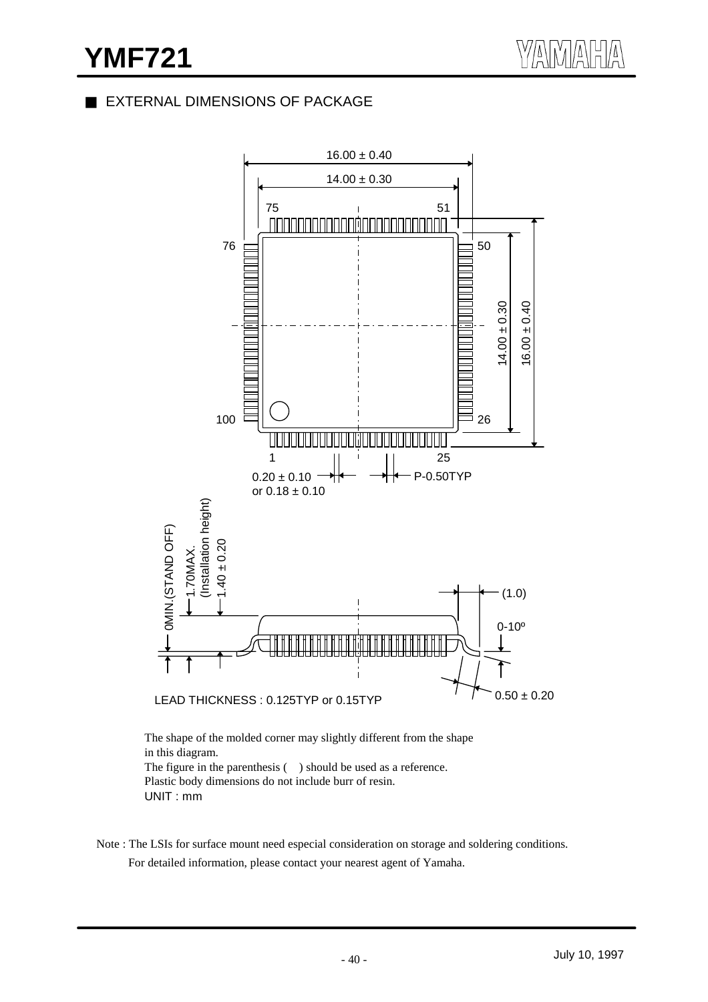## EXTERNAL DIMENSIONS OF PACKAGE



The shape of the molded corner may slightly different from the shape in this diagram. The figure in the parenthesis () should be used as a reference. Plastic body dimensions do not include burr of resin. UNIT : mm

Note : The LSIs for surface mount need especial consideration on storage and soldering conditions.

For detailed information, please contact your nearest agent of Yamaha.